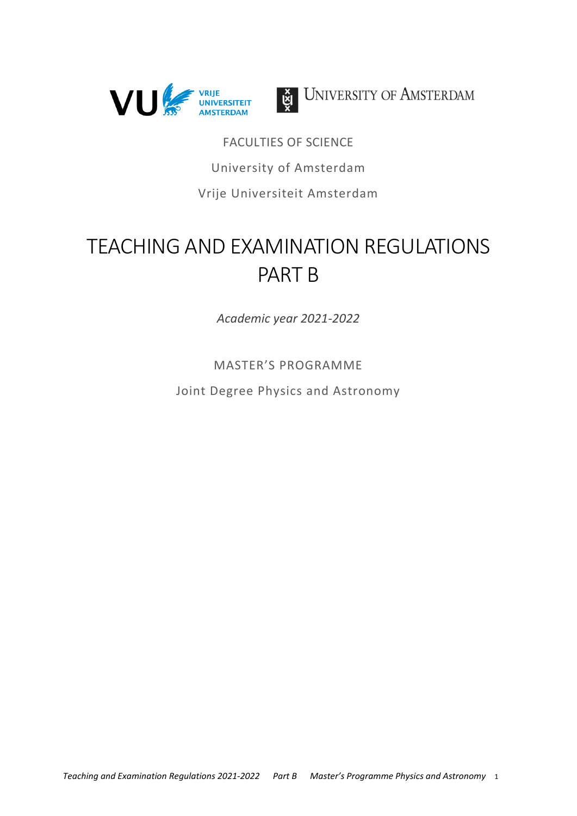



UNIVERSITY OF AMSTERDAM

**FACULTIES OF SCIENCE** University of Amsterdam Vrije Universiteit Amsterdam

# **TEACHING AND EXAMINATION REGULATIONS PART B**

Academic year 2021-2022

**MASTER'S PROGRAMME** 

Joint Degree Physics and Astronomy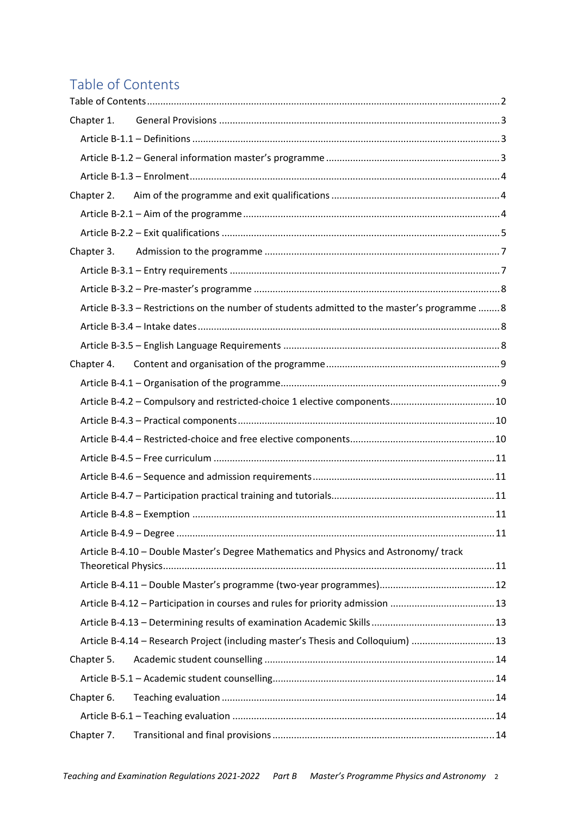## Table of Contents

| Chapter 1.                                                                                   |  |
|----------------------------------------------------------------------------------------------|--|
|                                                                                              |  |
|                                                                                              |  |
|                                                                                              |  |
|                                                                                              |  |
|                                                                                              |  |
|                                                                                              |  |
|                                                                                              |  |
|                                                                                              |  |
|                                                                                              |  |
| Article B-3.3 - Restrictions on the number of students admitted to the master's programme  8 |  |
|                                                                                              |  |
|                                                                                              |  |
|                                                                                              |  |
|                                                                                              |  |
|                                                                                              |  |
|                                                                                              |  |
|                                                                                              |  |
|                                                                                              |  |
|                                                                                              |  |
|                                                                                              |  |
|                                                                                              |  |
|                                                                                              |  |
| Article B-4.10 - Double Master's Degree Mathematics and Physics and Astronomy/ track         |  |
|                                                                                              |  |
|                                                                                              |  |
| Article B-4.12 - Participation in courses and rules for priority admission 13                |  |
|                                                                                              |  |
| Article B-4.14 - Research Project (including master's Thesis and Colloquium)  13             |  |
| Chapter 5.                                                                                   |  |
|                                                                                              |  |
| Chapter 6.                                                                                   |  |
|                                                                                              |  |
| Chapter 7.                                                                                   |  |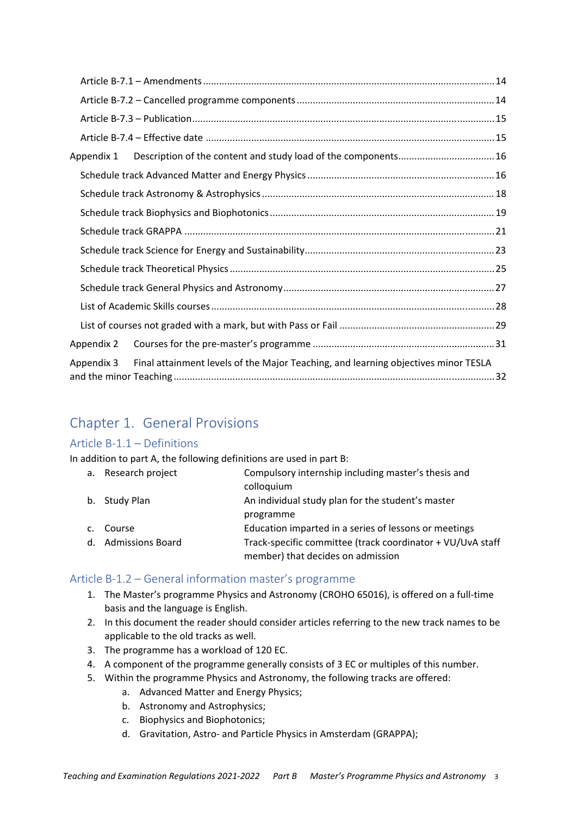| Appendix 1 |                                                                                    |  |
|------------|------------------------------------------------------------------------------------|--|
|            |                                                                                    |  |
|            |                                                                                    |  |
|            |                                                                                    |  |
|            |                                                                                    |  |
|            |                                                                                    |  |
|            |                                                                                    |  |
|            |                                                                                    |  |
|            |                                                                                    |  |
|            |                                                                                    |  |
| Appendix 2 |                                                                                    |  |
| Appendix 3 | Final attainment levels of the Major Teaching, and learning objectives minor TESLA |  |

## Chapter 1. General Provisions

### Article B-1.1 - Definitions

In addition to part A, the following definitions are used in part B:

|                | a. Research project | Compulsory internship including master's thesis and        |
|----------------|---------------------|------------------------------------------------------------|
|                |                     | colloquium                                                 |
|                | b. Study Plan       | An individual study plan for the student's master          |
|                |                     | programme                                                  |
| $\mathsf{C}$ . | Course              | Education imparted in a series of lessons or meetings      |
|                | d. Admissions Board | Track-specific committee (track coordinator + VU/UvA staff |
|                |                     | member) that decides on admission                          |

### Article B-1.2 - General information master's programme

- 1. The Master's programme Physics and Astronomy (CROHO 65016), is offered on a full-time basis and the language is English.
- 2. In this document the reader should consider articles referring to the new track names to be applicable to the old tracks as well.
- 3. The programme has a workload of 120 EC.
- 4. A component of the programme generally consists of 3 EC or multiples of this number.
- 5. Within the programme Physics and Astronomy, the following tracks are offered:
	- a. Advanced Matter and Energy Physics;
	- b. Astronomy and Astrophysics;
	- c. Biophysics and Biophotonics;
	- d. Gravitation, Astro- and Particle Physics in Amsterdam (GRAPPA);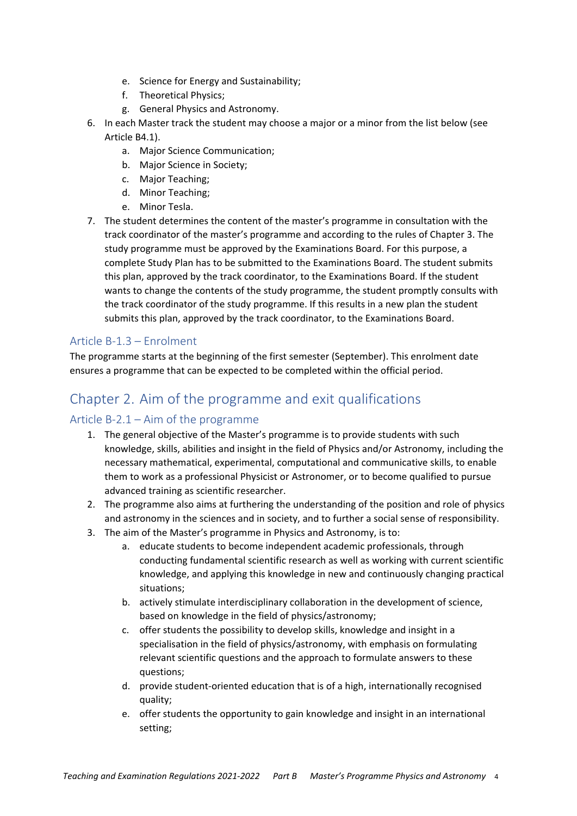- e. Science for Energy and Sustainability;
- f. Theoretical Physics:
- g. General Physics and Astronomy.
- 6. In each Master track the student may choose a major or a minor from the list below (see Article B4.1).
	- a. Major Science Communication;
	- b. Major Science in Society;
	- c. Major Teaching;
	- d. Minor Teaching:
	- e. Minor Tesla.
- 7. The student determines the content of the master's programme in consultation with the track coordinator of the master's programme and according to the rules of Chapter 3. The study programme must be approved by the Examinations Board. For this purpose, a complete Study Plan has to be submitted to the Examinations Board. The student submits this plan, approved by the track coordinator, to the Examinations Board. If the student wants to change the contents of the study programme, the student promptly consults with the track coordinator of the study programme. If this results in a new plan the student submits this plan, approved by the track coordinator, to the Examinations Board.

### Article B-1.3 - Enrolment

The programme starts at the beginning of the first semester (September). This enrolment date ensures a programme that can be expected to be completed within the official period.

## Chapter 2. Aim of the programme and exit qualifications

### Article  $B-2.1 - Aim$  of the programme

- 1. The general objective of the Master's programme is to provide students with such knowledge, skills, abilities and insight in the field of Physics and/or Astronomy, including the necessary mathematical, experimental, computational and communicative skills, to enable them to work as a professional Physicist or Astronomer, or to become qualified to pursue advanced training as scientific researcher.
- 2. The programme also aims at furthering the understanding of the position and role of physics and astronomy in the sciences and in society, and to further a social sense of responsibility.
- 3. The aim of the Master's programme in Physics and Astronomy, is to:
	- a. educate students to become independent academic professionals, through conducting fundamental scientific research as well as working with current scientific knowledge, and applying this knowledge in new and continuously changing practical situations:
	- b. actively stimulate interdisciplinary collaboration in the development of science, based on knowledge in the field of physics/astronomy;
	- c. offer students the possibility to develop skills, knowledge and insight in a specialisation in the field of physics/astronomy, with emphasis on formulating relevant scientific questions and the approach to formulate answers to these questions;
	- d. provide student-oriented education that is of a high, internationally recognised quality;
	- e. offer students the opportunity to gain knowledge and insight in an international setting: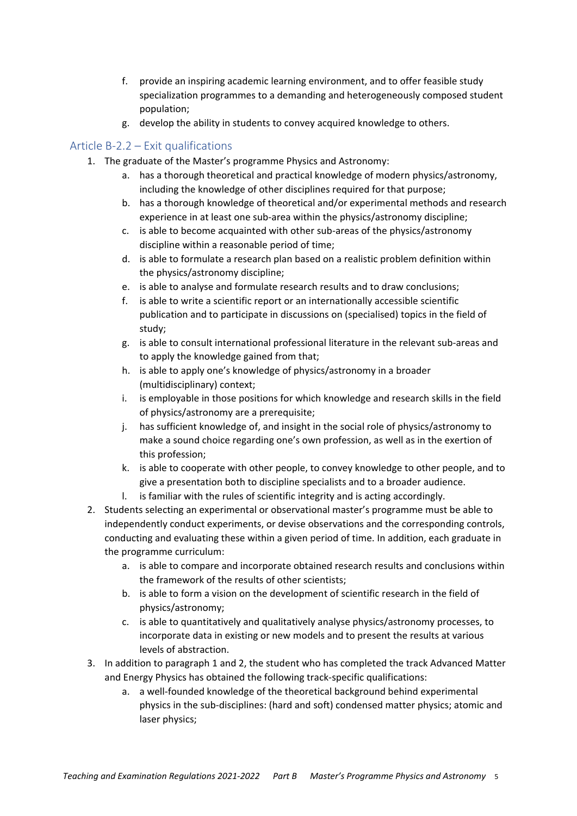- f. provide an inspiring academic learning environment, and to offer feasible study specialization programmes to a demanding and heterogeneously composed student population;
- g. develop the ability in students to convey acquired knowledge to others.

### Article B-2.2 – Exit qualifications

- 1. The graduate of the Master's programme Physics and Astronomy:
	- a. has a thorough theoretical and practical knowledge of modern physics/astronomy, including the knowledge of other disciplines required for that purpose;
	- b. has a thorough knowledge of theoretical and/or experimental methods and research experience in at least one sub-area within the physics/astronomy discipline;
	- c. is able to become acquainted with other sub-areas of the physics/astronomy discipline within a reasonable period of time;
	- d. is able to formulate a research plan based on a realistic problem definition within the physics/astronomy discipline;
	- e. is able to analyse and formulate research results and to draw conclusions;
	- $f_{\perp}$ is able to write a scientific report or an internationally accessible scientific publication and to participate in discussions on (specialised) topics in the field of study;
	- g. is able to consult international professional literature in the relevant sub-areas and to apply the knowledge gained from that:
	- h. is able to apply one's knowledge of physics/astronomy in a broader (multidisciplinary) context;
	- i. is employable in those positions for which knowledge and research skills in the field of physics/astronomy are a prerequisite;
	- has sufficient knowledge of, and insight in the social role of physics/astronomy to j. make a sound choice regarding one's own profession, as well as in the exertion of this profession;
	- k. is able to cooperate with other people, to convey knowledge to other people, and to give a presentation both to discipline specialists and to a broader audience.
	- I. is familiar with the rules of scientific integrity and is acting accordingly.
- 2. Students selecting an experimental or observational master's programme must be able to independently conduct experiments, or devise observations and the corresponding controls, conducting and evaluating these within a given period of time. In addition, each graduate in the programme curriculum:
	- a. is able to compare and incorporate obtained research results and conclusions within the framework of the results of other scientists:
	- b. is able to form a vision on the development of scientific research in the field of physics/astronomy;
	- c. is able to quantitatively and qualitatively analyse physics/astronomy processes, to incorporate data in existing or new models and to present the results at various levels of abstraction.
- 3. In addition to paragraph 1 and 2, the student who has completed the track Advanced Matter and Energy Physics has obtained the following track-specific qualifications:
	- a. a well-founded knowledge of the theoretical background behind experimental physics in the sub-disciplines: (hard and soft) condensed matter physics; atomic and laser physics;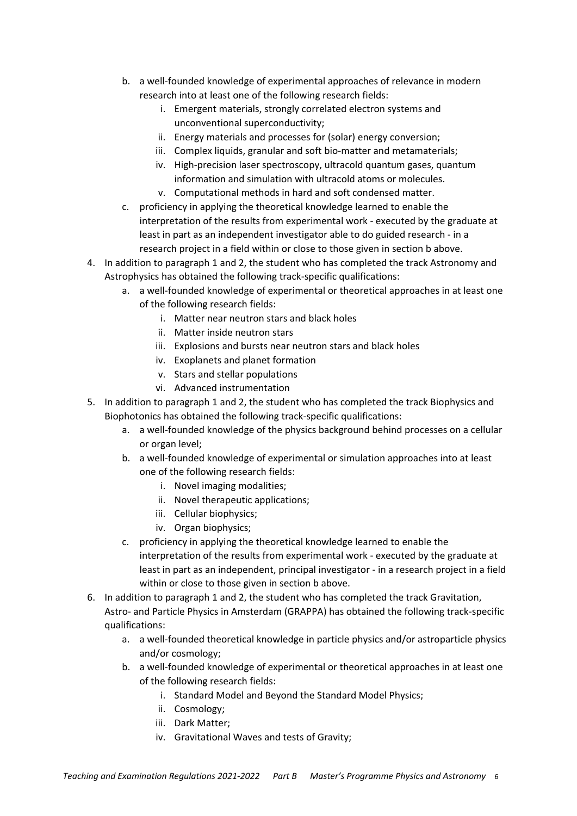- b. a well-founded knowledge of experimental approaches of relevance in modern research into at least one of the following research fields:
	- i. Emergent materials, strongly correlated electron systems and unconventional superconductivity;
	- ii. Energy materials and processes for (solar) energy conversion;
	- iii. Complex liquids, granular and soft bio-matter and metamaterials;
	- iv. High-precision laser spectroscopy, ultracold quantum gases, quantum information and simulation with ultracold atoms or molecules.
	- v. Computational methods in hard and soft condensed matter.
- c. proficiency in applying the theoretical knowledge learned to enable the interpretation of the results from experimental work - executed by the graduate at least in part as an independent investigator able to do guided research - in a research project in a field within or close to those given in section b above.
- 4. In addition to paragraph 1 and 2, the student who has completed the track Astronomy and Astrophysics has obtained the following track-specific qualifications:
	- a. a well-founded knowledge of experimental or theoretical approaches in at least one of the following research fields:
		- i. Matter near neutron stars and black holes
		- ii. Matter inside neutron stars
		- iii. Explosions and bursts near neutron stars and black holes
		- iv. Exoplanets and planet formation
		- v. Stars and stellar populations
		- vi. Advanced instrumentation
- 5. In addition to paragraph 1 and 2, the student who has completed the track Biophysics and Biophotonics has obtained the following track-specific qualifications:
	- a. a well-founded knowledge of the physics background behind processes on a cellular or organ level;
	- b. a well-founded knowledge of experimental or simulation approaches into at least one of the following research fields:
		- i. Novel imaging modalities;
		- ii. Novel therapeutic applications;
		- iii. Cellular biophysics;
		- iv. Organ biophysics;
	- c. proficiency in applying the theoretical knowledge learned to enable the interpretation of the results from experimental work - executed by the graduate at least in part as an independent, principal investigator - in a research project in a field within or close to those given in section b above.
- 6. In addition to paragraph 1 and 2, the student who has completed the track Gravitation, Astro- and Particle Physics in Amsterdam (GRAPPA) has obtained the following track-specific qualifications:
	- a. a well-founded theoretical knowledge in particle physics and/or astroparticle physics and/or cosmology;
	- b. a well-founded knowledge of experimental or theoretical approaches in at least one of the following research fields:
		- i. Standard Model and Bevond the Standard Model Physics:
		- ii. Cosmology;
		- iii. Dark Matter;
		- iv. Gravitational Waves and tests of Gravity;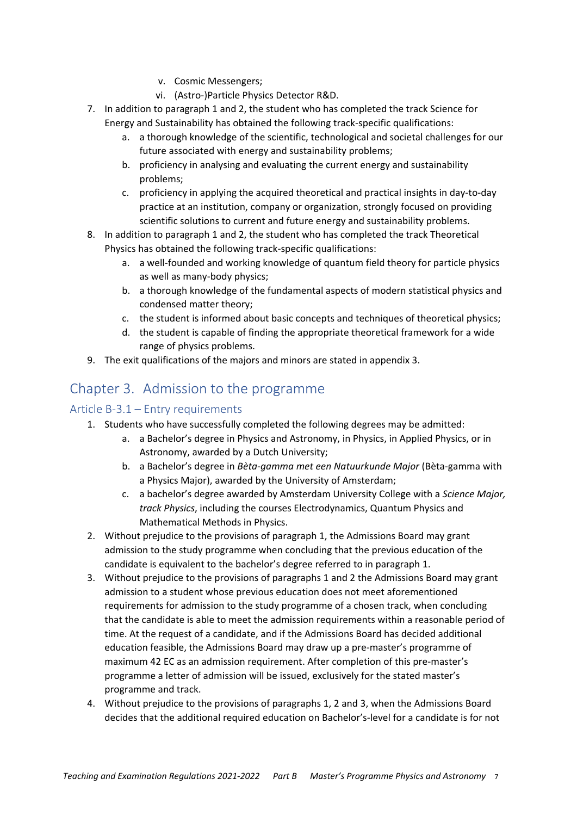- v. Cosmic Messengers:
- vi. (Astro-)Particle Physics Detector R&D.
- 7. In addition to paragraph 1 and 2, the student who has completed the track Science for Energy and Sustainability has obtained the following track-specific qualifications:
	- a. a thorough knowledge of the scientific, technological and societal challenges for our future associated with energy and sustainability problems;
	- b. proficiency in analysing and evaluating the current energy and sustainability problems;
	- c. proficiency in applying the acquired theoretical and practical insights in day-to-day practice at an institution, company or organization, strongly focused on providing scientific solutions to current and future energy and sustainability problems.
- 8. In addition to paragraph 1 and 2, the student who has completed the track Theoretical Physics has obtained the following track-specific qualifications:
	- a. a well-founded and working knowledge of quantum field theory for particle physics as well as many-body physics;
	- b. a thorough knowledge of the fundamental aspects of modern statistical physics and condensed matter theory:
	- c. the student is informed about basic concepts and techniques of theoretical physics;
	- d. the student is capable of finding the appropriate theoretical framework for a wide range of physics problems.
- 9. The exit qualifications of the majors and minors are stated in appendix 3.

## Chapter 3. Admission to the programme

### Article B-3.1 - Entry requirements

- 1. Students who have successfully completed the following degrees may be admitted:
	- a. a Bachelor's degree in Physics and Astronomy, in Physics, in Applied Physics, or in Astronomy, awarded by a Dutch University;
	- b. a Bachelor's degree in Bèta-gamma met een Natuurkunde Major (Bèta-gamma with a Physics Major), awarded by the University of Amsterdam;
	- c. a bachelor's degree awarded by Amsterdam University College with a Science Major, track Physics, including the courses Electrodynamics, Quantum Physics and Mathematical Methods in Physics.
- 2. Without prejudice to the provisions of paragraph 1, the Admissions Board may grant admission to the study programme when concluding that the previous education of the candidate is equivalent to the bachelor's degree referred to in paragraph 1.
- 3. Without prejudice to the provisions of paragraphs 1 and 2 the Admissions Board may grant admission to a student whose previous education does not meet aforementioned requirements for admission to the study programme of a chosen track, when concluding that the candidate is able to meet the admission requirements within a reasonable period of time. At the request of a candidate, and if the Admissions Board has decided additional education feasible, the Admissions Board may draw up a pre-master's programme of maximum 42 EC as an admission requirement. After completion of this pre-master's programme a letter of admission will be issued, exclusively for the stated master's programme and track.
- 4. Without prejudice to the provisions of paragraphs 1, 2 and 3, when the Admissions Board decides that the additional required education on Bachelor's-level for a candidate is for not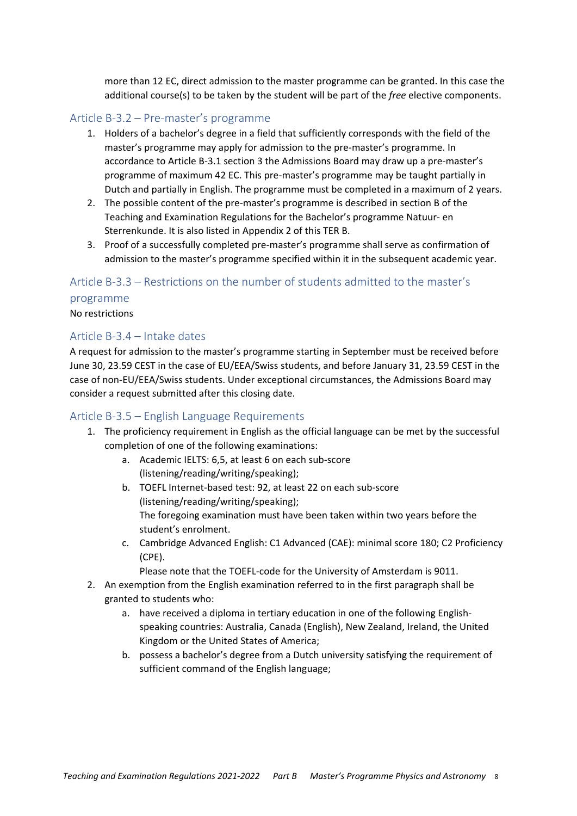more than 12 EC, direct admission to the master programme can be granted. In this case the additional course(s) to be taken by the student will be part of the free elective components.

#### Article B-3.2 – Pre-master's programme

- 1. Holders of a bachelor's degree in a field that sufficiently corresponds with the field of the master's programme may apply for admission to the pre-master's programme. In accordance to Article B-3.1 section 3 the Admissions Board may draw up a pre-master's programme of maximum 42 EC. This pre-master's programme may be taught partially in Dutch and partially in English. The programme must be completed in a maximum of 2 years.
- 2. The possible content of the pre-master's programme is described in section B of the Teaching and Examination Regulations for the Bachelor's programme Natuur- en Sterrenkunde. It is also listed in Appendix 2 of this TER B.
- 3. Proof of a successfully completed pre-master's programme shall serve as confirmation of admission to the master's programme specified within it in the subsequent academic year.

#### Article B-3.3 – Restrictions on the number of students admitted to the master's

#### programme

No restrictions

#### Article B-3 4 - Intake dates

A request for admission to the master's programme starting in September must be received before June 30, 23.59 CEST in the case of EU/EEA/Swiss students, and before January 31, 23.59 CEST in the case of non-EU/EEA/Swiss students. Under exceptional circumstances, the Admissions Board may consider a request submitted after this closing date.

#### Article B-3.5 – English Language Requirements

- 1. The proficiency requirement in English as the official language can be met by the successful completion of one of the following examinations:
	- a. Academic IELTS: 6.5, at least 6 on each sub-score (listening/reading/writing/speaking);
	- b. TOEFL Internet-based test: 92, at least 22 on each sub-score (listening/reading/writing/speaking); The foregoing examination must have been taken within two years before the student's enrolment.
	- c. Cambridge Advanced English: C1 Advanced (CAE): minimal score 180; C2 Proficiency  $(CPE)$ .
		- Please note that the TOEFL-code for the University of Amsterdam is 9011.
- 2. An exemption from the English examination referred to in the first paragraph shall be granted to students who:
	- a. have received a diploma in tertiary education in one of the following Englishspeaking countries: Australia, Canada (English), New Zealand, Ireland, the United Kingdom or the United States of America;
	- b. possess a bachelor's degree from a Dutch university satisfying the requirement of sufficient command of the English language;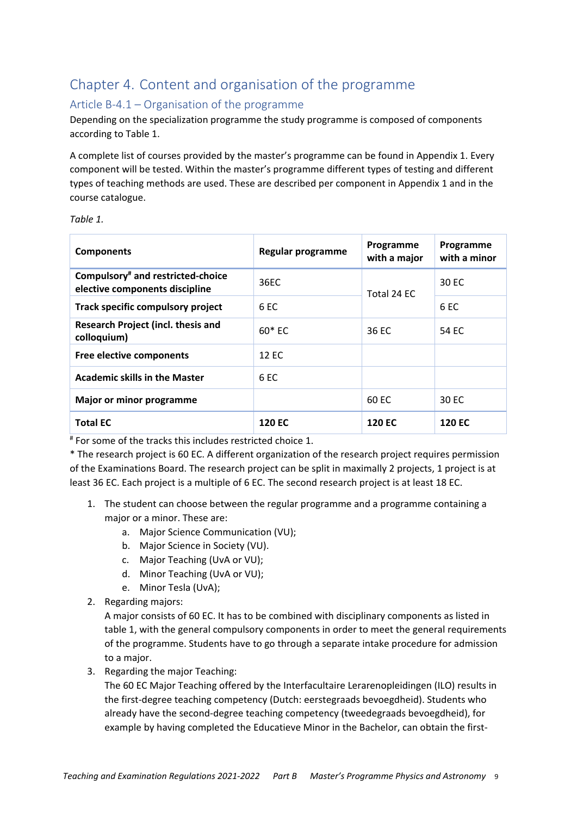## Chapter 4. Content and organisation of the programme

### Article B-4.1 - Organisation of the programme

Depending on the specialization programme the study programme is composed of components according to Table 1.

A complete list of courses provided by the master's programme can be found in Appendix 1. Every component will be tested. Within the master's programme different types of testing and different types of teaching methods are used. These are described per component in Appendix 1 and in the course catalogue.

| <b>Components</b>                                                               | Regular programme | Programme<br>with a major | Programme<br>with a minor |
|---------------------------------------------------------------------------------|-------------------|---------------------------|---------------------------|
| Compulsory <sup>#</sup> and restricted-choice<br>elective components discipline | 36EC              | Total 24 EC               | 30 EC                     |
| Track specific compulsory project                                               | 6 <sub>EC</sub>   |                           | 6 EC                      |
| Research Project (incl. thesis and<br>colloquium)                               | $60*FC$           | 36 EC                     | 54 FC                     |
| Free elective components                                                        | 12 EC             |                           |                           |
| <b>Academic skills in the Master</b>                                            | 6 EC              |                           |                           |
| Major or minor programme                                                        |                   | 60 EC                     | 30 EC                     |
| <b>Total EC</b>                                                                 | <b>120 EC</b>     | <b>120 EC</b>             | <b>120 EC</b>             |

# For some of the tracks this includes restricted choice 1.

\* The research project is 60 EC. A different organization of the research project requires permission of the Examinations Board. The research project can be split in maximally 2 projects, 1 project is at least 36 EC. Each project is a multiple of 6 EC. The second research project is at least 18 EC.

- 1. The student can choose between the regular programme and a programme containing a major or a minor. These are:
	- a. Major Science Communication (VU);
	- b. Major Science in Society (VU).
	- c. Major Teaching (UvA or VU);
	- d. Minor Teaching (UvA or VU);
	- e. Minor Tesla (UvA);
- 2. Regarding majors:

A major consists of 60 EC. It has to be combined with disciplinary components as listed in table 1, with the general compulsory components in order to meet the general requirements of the programme. Students have to go through a separate intake procedure for admission to a major.

3. Regarding the major Teaching:

The 60 EC Major Teaching offered by the Interfacultaire Lerarenopleidingen (ILO) results in the first-degree teaching competency (Dutch: eerstegraads bevoegdheid). Students who already have the second-degree teaching competency (tweedegraads bevoegdheid), for example by having completed the Educatieve Minor in the Bachelor, can obtain the first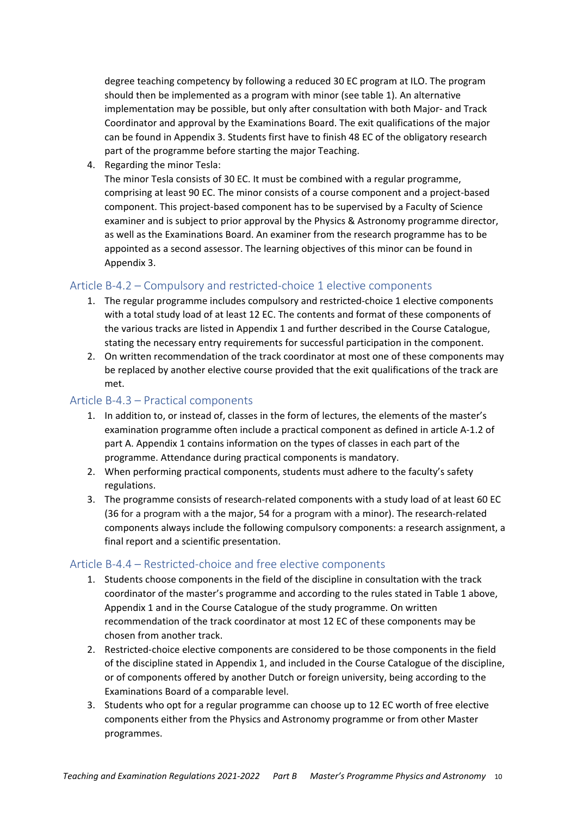degree teaching competency by following a reduced 30 EC program at ILO. The program should then be implemented as a program with minor (see table 1). An alternative implementation may be possible, but only after consultation with both Major- and Track Coordinator and approval by the Examinations Board. The exit qualifications of the major can be found in Appendix 3. Students first have to finish 48 EC of the obligatory research part of the programme before starting the major Teaching.

4. Regarding the minor Tesla:

The minor Tesla consists of 30 EC. It must be combined with a regular programme, comprising at least 90 EC. The minor consists of a course component and a project-based component. This project-based component has to be supervised by a Faculty of Science examiner and is subject to prior approval by the Physics & Astronomy programme director, as well as the Examinations Board. An examiner from the research programme has to be appointed as a second assessor. The learning objectives of this minor can be found in Appendix 3.

### Article B-4.2 – Compulsory and restricted-choice 1 elective components

- 1. The regular programme includes compulsory and restricted-choice 1 elective components with a total study load of at least 12 EC. The contents and format of these components of the various tracks are listed in Appendix 1 and further described in the Course Catalogue, stating the necessary entry requirements for successful participation in the component.
- 2. On written recommendation of the track coordinator at most one of these components may be replaced by another elective course provided that the exit qualifications of the track are met.

### Article B-4.3 - Practical components

- 1. In addition to, or instead of, classes in the form of lectures, the elements of the master's examination programme often include a practical component as defined in article A-1.2 of part A. Appendix 1 contains information on the types of classes in each part of the programme. Attendance during practical components is mandatory.
- 2. When performing practical components, students must adhere to the faculty's safety regulations.
- 3. The programme consists of research-related components with a study load of at least 60 EC (36 for a program with a the major, 54 for a program with a minor). The research-related components always include the following compulsory components: a research assignment, a final report and a scientific presentation.

#### Article B-4.4 - Restricted-choice and free elective components

- 1. Students choose components in the field of the discipline in consultation with the track coordinator of the master's programme and according to the rules stated in Table 1 above, Appendix 1 and in the Course Catalogue of the study programme. On written recommendation of the track coordinator at most 12 EC of these components may be chosen from another track.
- 2. Restricted-choice elective components are considered to be those components in the field of the discipline stated in Appendix 1, and included in the Course Catalogue of the discipline, or of components offered by another Dutch or foreign university, being according to the Examinations Board of a comparable level.
- 3. Students who opt for a regular programme can choose up to 12 EC worth of free elective components either from the Physics and Astronomy programme or from other Master programmes.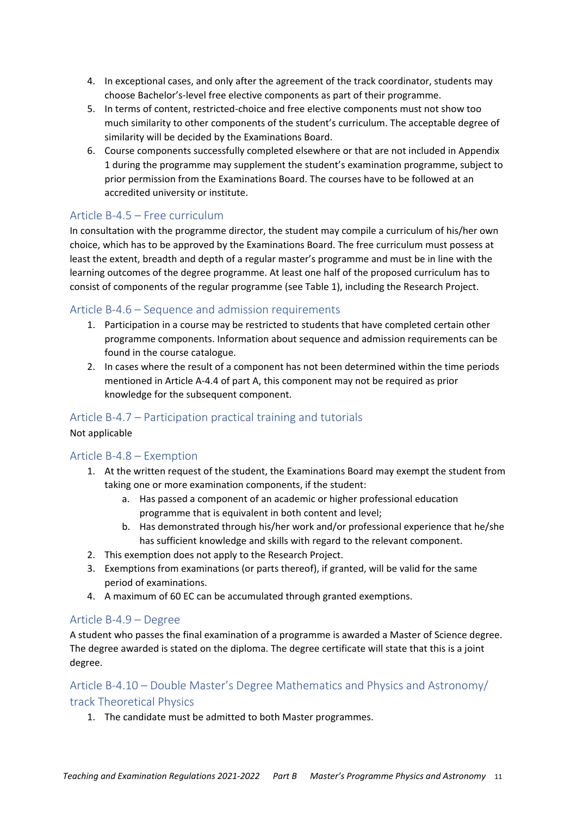- 4. In exceptional cases, and only after the agreement of the track coordinator, students may choose Bachelor's-level free elective components as part of their programme.
- 5. In terms of content, restricted-choice and free elective components must not show too much similarity to other components of the student's curriculum. The acceptable degree of similarity will be decided by the Examinations Board.
- 6. Course components successfully completed elsewhere or that are not included in Appendix 1 during the programme may supplement the student's examination programme, subject to prior permission from the Examinations Board. The courses have to be followed at an accredited university or institute.

### Article B-4.5 - Free curriculum

In consultation with the programme director, the student may compile a curriculum of his/her own choice, which has to be approved by the Examinations Board. The free curriculum must possess at least the extent, breadth and depth of a regular master's programme and must be in line with the learning outcomes of the degree programme. At least one half of the proposed curriculum has to consist of components of the regular programme (see Table 1), including the Research Project.

#### Article B-4.6 – Sequence and admission requirements

- 1. Participation in a course may be restricted to students that have completed certain other programme components. Information about sequence and admission requirements can be found in the course catalogue.
- 2. In cases where the result of a component has not been determined within the time periods mentioned in Article A-4.4 of part A, this component may not be required as prior knowledge for the subsequent component.

#### Article B-4.7 – Participation practical training and tutorials

Not applicable

#### Article  $B-4.8$  – Exemption

- 1. At the written request of the student, the Examinations Board may exempt the student from taking one or more examination components, if the student:
	- a. Has passed a component of an academic or higher professional education programme that is equivalent in both content and level;
	- b. Has demonstrated through his/her work and/or professional experience that he/she has sufficient knowledge and skills with regard to the relevant component.
- 2. This exemption does not apply to the Research Project.
- 3. Exemptions from examinations (or parts thereof), if granted, will be valid for the same period of examinations.
- 4. A maximum of 60 EC can be accumulated through granted exemptions.

#### Article B-4.9 - Degree

A student who passes the final examination of a programme is awarded a Master of Science degree. The degree awarded is stated on the diploma. The degree certificate will state that this is a joint degree.

Article B-4.10 - Double Master's Degree Mathematics and Physics and Astronomy/ track Theoretical Physics

1. The candidate must be admitted to both Master programmes.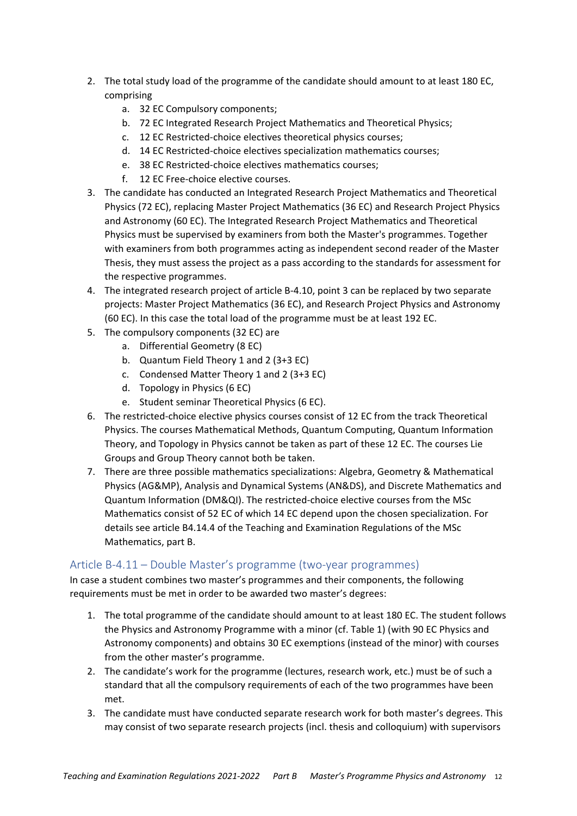- 2. The total study load of the programme of the candidate should amount to at least 180 EC, comprising
	- a. 32 EC Compulsory components;
	- b. 72 EC Integrated Research Project Mathematics and Theoretical Physics;
	- c. 12 EC Restricted-choice electives theoretical physics courses;
	- d. 14 EC Restricted-choice electives specialization mathematics courses;
	- e. 38 EC Restricted-choice electives mathematics courses;
	- f. 12 EC Free-choice elective courses.
- 3. The candidate has conducted an Integrated Research Project Mathematics and Theoretical Physics (72 EC), replacing Master Project Mathematics (36 EC) and Research Project Physics and Astronomy (60 EC). The Integrated Research Project Mathematics and Theoretical Physics must be supervised by examiners from both the Master's programmes. Together with examiners from both programmes acting as independent second reader of the Master Thesis, they must assess the project as a pass according to the standards for assessment for the respective programmes.
- 4. The integrated research project of article B-4.10, point 3 can be replaced by two separate projects: Master Project Mathematics (36 EC), and Research Project Physics and Astronomy (60 EC). In this case the total load of the programme must be at least 192 EC.
- 5. The compulsory components (32 EC) are
	- a. Differential Geometry (8 EC)
	- b. Quantum Field Theory 1 and 2 (3+3 EC)
	- c. Condensed Matter Theory 1 and 2 (3+3 EC)
	- d. Topology in Physics (6 EC)
	- e. Student seminar Theoretical Physics (6 EC).
- 6. The restricted-choice elective physics courses consist of 12 EC from the track Theoretical Physics. The courses Mathematical Methods, Quantum Computing, Quantum Information Theory, and Topology in Physics cannot be taken as part of these 12 EC. The courses Lie Groups and Group Theory cannot both be taken.
- 7. There are three possible mathematics specializations: Algebra, Geometry & Mathematical Physics (AG&MP), Analysis and Dynamical Systems (AN&DS), and Discrete Mathematics and Quantum Information (DM&QI). The restricted-choice elective courses from the MSc Mathematics consist of 52 EC of which 14 EC depend upon the chosen specialization. For details see article B4.14.4 of the Teaching and Examination Regulations of the MSc Mathematics, part B.

#### Article B-4.11 - Double Master's programme (two-year programmes)

In case a student combines two master's programmes and their components, the following requirements must be met in order to be awarded two master's degrees:

- 1. The total programme of the candidate should amount to at least 180 EC. The student follows the Physics and Astronomy Programme with a minor (cf. Table 1) (with 90 EC Physics and Astronomy components) and obtains 30 EC exemptions (instead of the minor) with courses from the other master's programme.
- 2. The candidate's work for the programme (lectures, research work, etc.) must be of such a standard that all the compulsory requirements of each of the two programmes have been met.
- 3. The candidate must have conducted separate research work for both master's degrees. This may consist of two separate research projects (incl. thesis and colloquium) with supervisors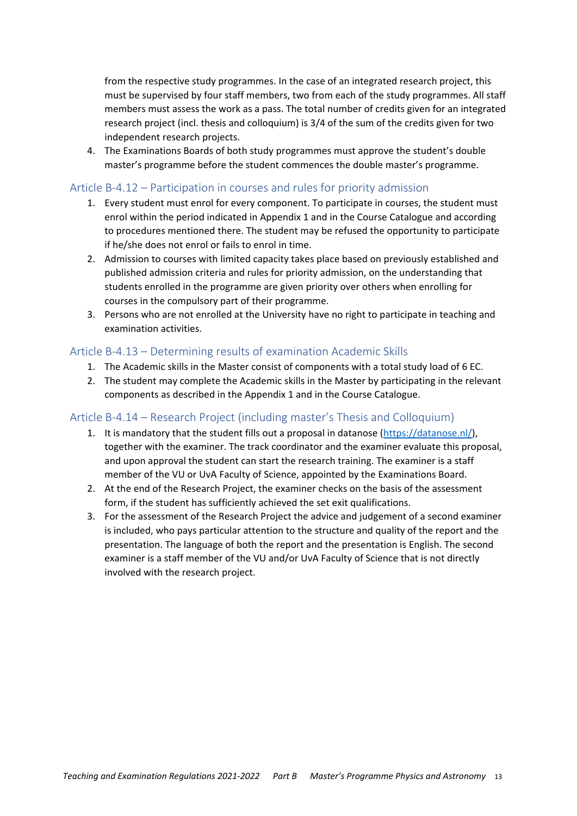from the respective study programmes. In the case of an integrated research project, this must be supervised by four staff members, two from each of the study programmes. All staff members must assess the work as a pass. The total number of credits given for an integrated research project (incl. thesis and colloquium) is 3/4 of the sum of the credits given for two independent research projects.

4. The Examinations Boards of both study programmes must approve the student's double master's programme before the student commences the double master's programme.

#### Article B-4.12 – Participation in courses and rules for priority admission

- 1. Every student must enrol for every component. To participate in courses, the student must enrol within the period indicated in Appendix 1 and in the Course Catalogue and according to procedures mentioned there. The student may be refused the opportunity to participate if he/she does not enrol or fails to enrol in time.
- 2. Admission to courses with limited capacity takes place based on previously established and published admission criteria and rules for priority admission, on the understanding that students enrolled in the programme are given priority over others when enrolling for courses in the compulsory part of their programme.
- 3. Persons who are not enrolled at the University have no right to participate in teaching and examination activities.

#### Article B-4.13 - Determining results of examination Academic Skills

- 1. The Academic skills in the Master consist of components with a total study load of 6 EC.
- 2. The student may complete the Academic skills in the Master by participating in the relevant components as described in the Appendix 1 and in the Course Catalogue.

### Article B-4.14 – Research Project (including master's Thesis and Colloquium)

- 1. It is mandatory that the student fills out a proposal in datanose (https://datanose.nl/), together with the examiner. The track coordinator and the examiner evaluate this proposal, and upon approval the student can start the research training. The examiner is a staff member of the VU or UvA Faculty of Science, appointed by the Examinations Board.
- 2. At the end of the Research Project, the examiner checks on the basis of the assessment form, if the student has sufficiently achieved the set exit qualifications.
- 3. For the assessment of the Research Project the advice and judgement of a second examiner is included, who pays particular attention to the structure and quality of the report and the presentation. The language of both the report and the presentation is English. The second examiner is a staff member of the VU and/or UvA Faculty of Science that is not directly involved with the research project.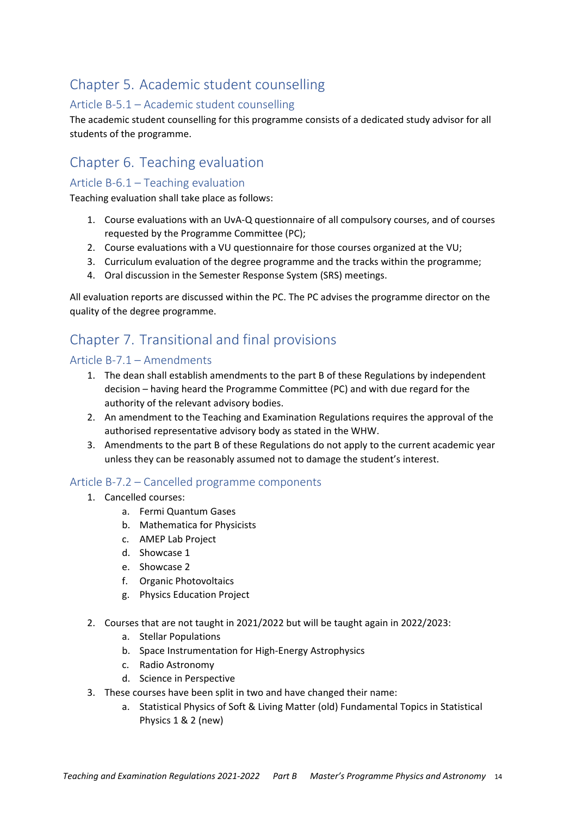## Chapter 5. Academic student counselling

### Article B-5.1 - Academic student counselling

The academic student counselling for this programme consists of a dedicated study advisor for all students of the programme.

## Chapter 6. Teaching evaluation

### Article B-6.1 - Teaching evaluation

Teaching evaluation shall take place as follows:

- 1. Course evaluations with an UvA-Q questionnaire of all compulsory courses, and of courses requested by the Programme Committee (PC):
- 2. Course evaluations with a VU questionnaire for those courses organized at the VU;
- 3. Curriculum evaluation of the degree programme and the tracks within the programme;
- 4. Oral discussion in the Semester Response System (SRS) meetings.

All evaluation reports are discussed within the PC. The PC advises the programme director on the quality of the degree programme.

## Chapter 7. Transitional and final provisions

### Article B-7.1 - Amendments

- 1. The dean shall establish amendments to the part B of these Regulations by independent decision - having heard the Programme Committee (PC) and with due regard for the authority of the relevant advisory bodies.
- 2. An amendment to the Teaching and Examination Regulations requires the approval of the authorised representative advisory body as stated in the WHW.
- 3. Amendments to the part B of these Regulations do not apply to the current academic year unless they can be reasonably assumed not to damage the student's interest.

### Article B-7.2 - Cancelled programme components

- 1. Cancelled courses:
	- a. Fermi Quantum Gases
	- b. Mathematica for Physicists
	- c. AMEP Lab Project
	- d. Showcase 1
	- e. Showcase 2
	- f. Organic Photovoltaics
	- g. Physics Education Project
- 2. Courses that are not taught in 2021/2022 but will be taught again in 2022/2023:
	- a. Stellar Populations
	- b. Space Instrumentation for High-Energy Astrophysics
	- c. Radio Astronomy
	- d. Science in Perspective
- 3. These courses have been split in two and have changed their name:
	- a. Statistical Physics of Soft & Living Matter (old) Fundamental Topics in Statistical Physics 1 & 2 (new)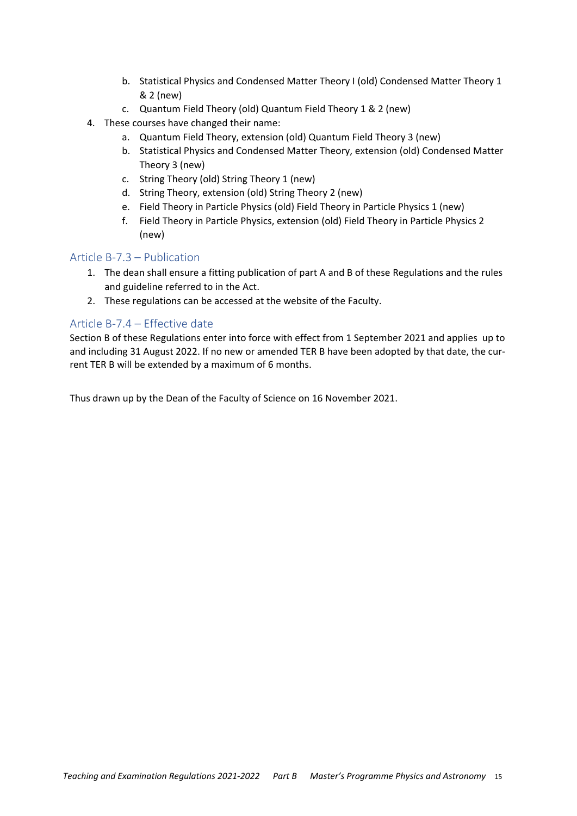- b. Statistical Physics and Condensed Matter Theory I (old) Condensed Matter Theory 1 & 2 (new)
- c. Quantum Field Theory (old) Quantum Field Theory 1 & 2 (new)
- 4. These courses have changed their name:
	- a. Quantum Field Theory, extension (old) Quantum Field Theory 3 (new)
	- b. Statistical Physics and Condensed Matter Theory, extension (old) Condensed Matter Theory 3 (new)
	- c. String Theory (old) String Theory 1 (new)
	- d. String Theory, extension (old) String Theory 2 (new)
	- e. Field Theory in Particle Physics (old) Field Theory in Particle Physics 1 (new)
	- f. Field Theory in Particle Physics, extension (old) Field Theory in Particle Physics 2 (new)

### Article B-7.3 - Publication

- 1. The dean shall ensure a fitting publication of part A and B of these Regulations and the rules and guideline referred to in the Act.
- 2. These regulations can be accessed at the website of the Faculty.

### Article B-7.4 - Effective date

Section B of these Regulations enter into force with effect from 1 September 2021 and applies up to and including 31 August 2022. If no new or amended TER B have been adopted by that date, the current TER B will be extended by a maximum of 6 months.

Thus drawn up by the Dean of the Faculty of Science on 16 November 2021.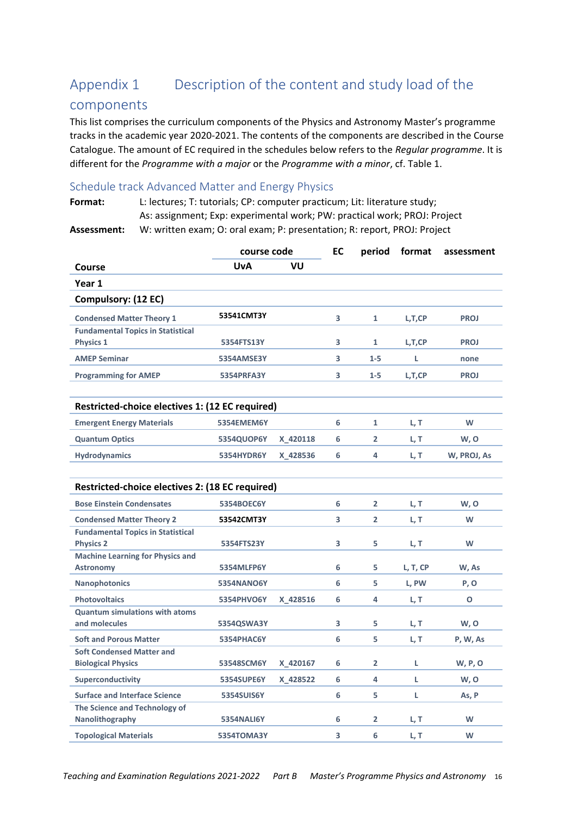#### Appendix 1 Description of the content and study load of the

### components

This list comprises the curriculum components of the Physics and Astronomy Master's programme tracks in the academic year 2020-2021. The contents of the components are described in the Course Catalogue. The amount of EC required in the schedules below refers to the Regular programme. It is different for the Programme with a major or the Programme with a minor, cf. Table 1.

### Schedule track Advanced Matter and Energy Physics

Format: L: lectures; T: tutorials; CP: computer practicum; Lit: literature study; As: assignment; Exp: experimental work; PW: practical work; PROJ: Project W: written exam; O: oral exam; P: presentation; R: report, PROJ: Project Assessment:

| course code                                                  |                   |          | EC |                | period format | assessment  |
|--------------------------------------------------------------|-------------------|----------|----|----------------|---------------|-------------|
| Course                                                       | <b>UvA</b>        | VU       |    |                |               |             |
| Year 1                                                       |                   |          |    |                |               |             |
| Compulsory: (12 EC)                                          |                   |          |    |                |               |             |
| <b>Condensed Matter Theory 1</b>                             | 53541CMT3Y        |          | 3  | 1              | L, T, CP      | <b>PROJ</b> |
| <b>Fundamental Topics in Statistical</b><br><b>Physics 1</b> | 5354FTS13Y        |          | 3  | $\mathbf{1}$   | L,T,CP        | <b>PROJ</b> |
| <b>AMEP Seminar</b>                                          | 5354AMSE3Y        |          | 3  | $1 - 5$        | L             | none        |
| <b>Programming for AMEP</b>                                  | <b>5354PRFA3Y</b> |          | 3  | $1 - 5$        | L, T, CP      | <b>PROJ</b> |
|                                                              |                   |          |    |                |               |             |
| Restricted-choice electives 1: (12 EC required)              |                   |          |    |                |               |             |
| <b>Emergent Energy Materials</b>                             | <b>5354EMEM6Y</b> |          | 6  | $\mathbf{1}$   | L, T          | W           |
| <b>Quantum Optics</b>                                        | 5354QUOP6Y        | X 420118 | 6  | $\overline{2}$ | L, T          | W, O        |
| <b>Hydrodynamics</b>                                         | 5354HYDR6Y        | X 428536 | 6  | 4              | L, T          | W, PROJ, As |
|                                                              |                   |          |    |                |               |             |
| Restricted-choice electives 2: (18 EC required)              |                   |          |    |                |               |             |
| <b>Bose Einstein Condensates</b>                             | 5354BOEC6Y        |          | 6  | $\overline{2}$ | L, T          | W, O        |
| <b>Condensed Matter Theory 2</b>                             | 53542CMT3Y        |          | 3  | $\overline{2}$ | L, T          | W           |
| <b>Fundamental Topics in Statistical</b><br><b>Physics 2</b> | 5354FTS23Y        |          | 3  | 5              | L, T          | W           |
| <b>Machine Learning for Physics and</b>                      |                   |          |    |                |               |             |
| <b>Astronomy</b>                                             | 5354MLFP6Y        |          | 6  | 5              | L, T, CP      | W, As       |
| <b>Nanophotonics</b>                                         | <b>5354NANO6Y</b> |          | 6  | 5.             | L, PW         | P, O        |
| <b>Photovoltaics</b>                                         | 5354PHVO6Y        | X 428516 | 6  | 4              | L, T          | O           |
| <b>Quantum simulations with atoms</b>                        |                   |          |    |                |               |             |
| and molecules                                                | 5354QSWA3Y        |          | 3  | 5              | L, T          | w, o        |
| <b>Soft and Porous Matter</b>                                | 5354PHAC6Y        |          | 6  | 5              | L, T          | P, W, As    |
| <b>Soft Condensed Matter and</b>                             |                   |          |    |                |               |             |
| <b>Biological Physics</b>                                    | 53548SCM6Y        | X 420167 | 6  | $\overline{2}$ | L             | W, P, O     |
| Superconductivity                                            | <b>5354SUPE6Y</b> | X_428522 | 6  | 4              | L.            | W, O        |
| <b>Surface and Interface Science</b>                         | <b>5354SUIS6Y</b> |          | 6  | 5              | L.            | As, P       |
| The Science and Technology of                                |                   |          |    |                |               |             |
| Nanolithography                                              | <b>5354NALI6Y</b> |          | 6  | $\overline{2}$ | L, T          | W           |
| <b>Topological Materials</b>                                 | <b>5354TOMA3Y</b> |          | 3  | 6              | L.T           | W           |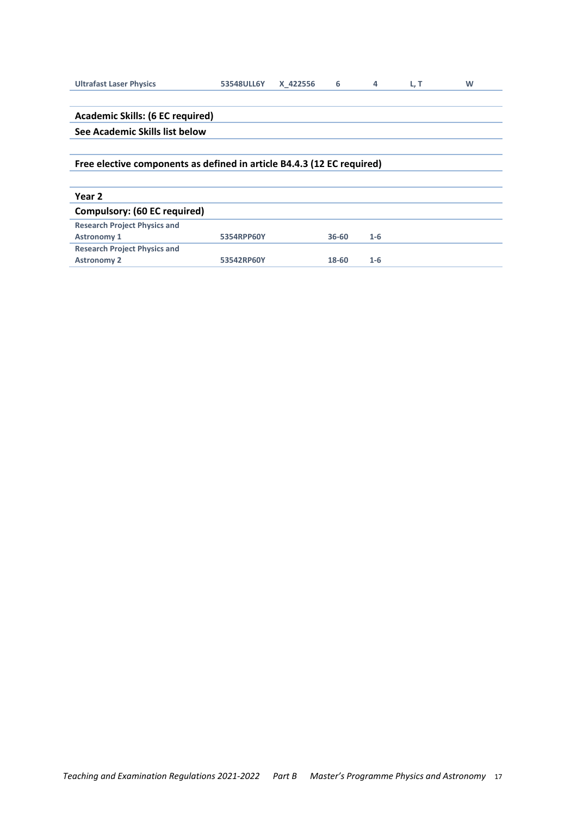| <b>Ultrafast Laser Physics</b>                                         | 53548ULL6Y | X 422556 | 6         | 4     | L, T | W |
|------------------------------------------------------------------------|------------|----------|-----------|-------|------|---|
|                                                                        |            |          |           |       |      |   |
| <b>Academic Skills: (6 EC required)</b>                                |            |          |           |       |      |   |
| See Academic Skills list below                                         |            |          |           |       |      |   |
|                                                                        |            |          |           |       |      |   |
| Free elective components as defined in article B4.4.3 (12 EC required) |            |          |           |       |      |   |
|                                                                        |            |          |           |       |      |   |
| Year 2                                                                 |            |          |           |       |      |   |
| <b>Compulsory: (60 EC required)</b>                                    |            |          |           |       |      |   |
|                                                                        |            |          |           |       |      |   |
| <b>Research Project Physics and</b>                                    |            |          |           |       |      |   |
| <b>Astronomy 1</b>                                                     | 5354RPP60Y |          | $36 - 60$ | $1-6$ |      |   |
| <b>Research Project Physics and</b>                                    |            |          |           |       |      |   |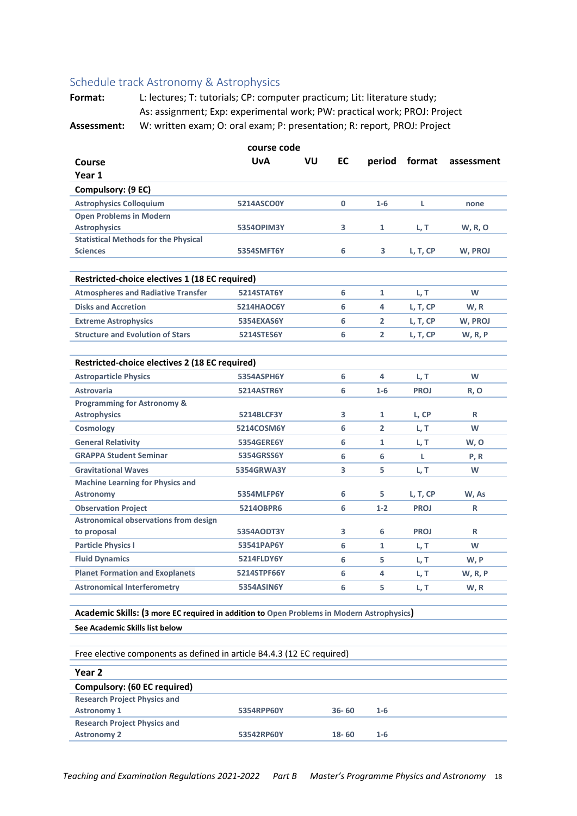#### Schedule track Astronomy & Astrophysics

Format: L: lectures; T: tutorials; CP: computer practicum; Lit: literature study; As: assignment; Exp: experimental work; PW: practical work; PROJ: Project Assessment: W: written exam; O: oral exam; P: presentation; R: report, PROJ: Project

course code VU **EC UvA** Course period format assessment Year 1 Compulsory: (9 EC) **Astrophysics Colloquium** 5214ASCO0Y  $\pmb{0}$  $1-6$  $\mathsf L$ none **Open Problems in Modern Astrophysics** 53540PIM3Y  $\overline{\mathbf{3}}$  $\mathbf 1$ L, T W, R, O **Statistical Methods for the Physical** Sciences 5354SMFT6Y  $6\phantom{a}6$  $\overline{3}$ W. PROJ L. T. CP Restricted-choice electives 1 (18 EC required) **Atmospheres and Radiative Transfer 5214STAT6Y**  $6\phantom{1}6$  $\mathbf{1}$  $L, T$ W **Disks and Accretion 5214HAOC6Y**  $6\phantom{a}6$  $\overline{\mathbf{A}}$ L, T, CP W.R W, PROJ **Extreme Astrophysics** 5354EXAS6Y  $6\phantom{1}6$  $\overline{\mathbf{2}}$ L, T, CP **Structure and Evolution of Stars** 5214STES6Y  $6\phantom{a}6$  $\overline{\mathbf{2}}$ L, T, CP **W, R, P** Restricted-choice electives 2 (18 EC required) **Astroparticle Physics** 5354ASPH6Y **W**  $6\phantom{a}6$  $\Delta$ L, T **Astrovaria 5214ASTR6Y**  $\boldsymbol{6}$  $1-6$ **PROJ R, O Programming for Astronomy & Astrophysics 5214BLCF3V**  $\overline{\mathbf{z}}$ L. CP  $\mathbf{R}$  $\mathbf{1}$  $\boldsymbol{6}$  $\overline{\mathbf{2}}$ L, T W Cosmology 5214COSM6Y **General Relativity 5354GERE6Y**  $6\phantom{a}6$  $\mathbf{1}$ L, T W, O **GRAPPA Student Seminar** 5354GRSS6Y  $6\phantom{1}6$ 6  $\mathsf{L}$  $P, R$ **Gravitational Waves** 5354GRWA3Y  $\overline{\mathbf{3}}$ 5 L, T W **Machine Learning for Physics and** 5 W, As **Astronomy** 5354MLFP6Y 6 L, T, CP **Observation Project** 52140BPR6  $6\phantom{1}6$  $1-2$ **PROJ**  $\sf R$ **Astronomical observations from design PROJ** 5354AODT3Y  $\overline{\mathbf{3}}$ 6  $\mathsf R$ to proposal **Particle Physics I** 53541PAP6Y  $6\phantom{a}6$ W  $\mathbf 1$ L, T **Fluid Dynamics** 5214FLDY6Y 5  $6\phantom{a}6$ L.T W.P **Planet Formation and Exoplanets** 5214STPF66Y **W, R, P**  $6\phantom{1}6$ 4 L, T **Astronomical Interferometry 5354ASIN6Y**  $6\phantom{1}6$ 5 L, T W, R Academic Skills: (3 more EC required in addition to Open Problems in Modern Astrophysics) See Academic Skills list below Free elective components as defined in article B4.4.3 (12 EC required) Year<sub>2</sub> **Compulsory: (60 EC required) Research Project Physics and** 

 $36 - 60$ 

 $18 - 60$ 

 $1 - 6$ 

 $1-6$ 

5354RPP60Y

53542RP60Y

**Astronomy 1** 

**Astronomy 2** 

**Research Project Physics and**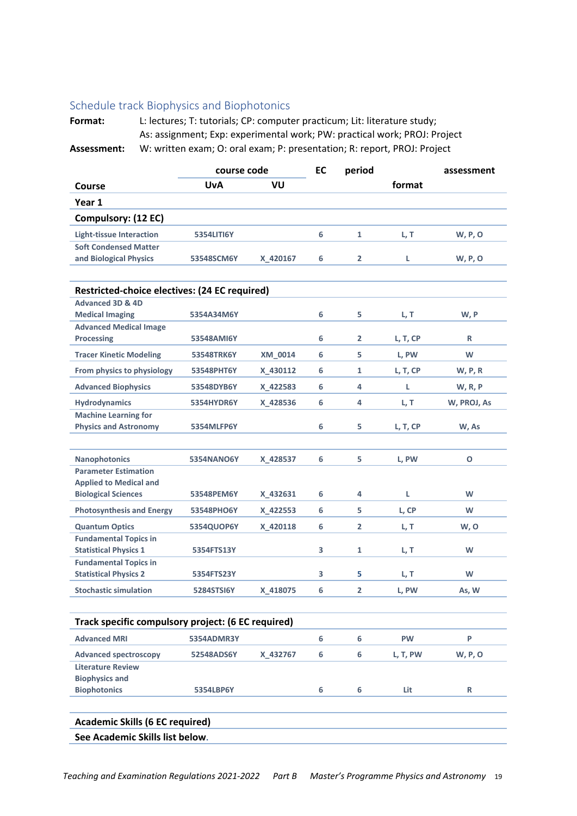### Schedule track Biophysics and Biophotonics

Format: L: lectures; T: tutorials; CP: computer practicum; Lit: literature study; As: assignment; Exp: experimental work; PW: practical work; PROJ: Project Assessment: W: written exam; O: oral exam; P: presentation; R: report, PROJ: Project

|                                                    | course code       |                | EC | period         |           | assessment     |
|----------------------------------------------------|-------------------|----------------|----|----------------|-----------|----------------|
| Course                                             | <b>UvA</b>        | VU             |    |                | format    |                |
| Year 1                                             |                   |                |    |                |           |                |
| Compulsory: (12 EC)                                |                   |                |    |                |           |                |
| <b>Light-tissue Interaction</b>                    | <b>5354LITI6Y</b> |                | 6  | $\mathbf{1}$   | L, T      | <b>W, P, O</b> |
| <b>Soft Condensed Matter</b>                       |                   |                |    |                |           |                |
| and Biological Physics                             | 53548SCM6Y        | X 420167       | 6  | $\overline{2}$ | L.        | <b>W, P, O</b> |
|                                                    |                   |                |    |                |           |                |
| Restricted-choice electives: (24 EC required)      |                   |                |    |                |           |                |
| <b>Advanced 3D &amp; 4D</b>                        |                   |                |    |                |           |                |
| <b>Medical Imaging</b>                             | 5354A34M6Y        |                | 6  | 5              | L, T      | W, P           |
| <b>Advanced Medical Image</b>                      |                   |                |    |                |           |                |
| <b>Processing</b>                                  | 53548AMI6Y        |                | 6  | $\overline{2}$ | L, T, CP  | R              |
| <b>Tracer Kinetic Modeling</b>                     | 53548TRK6Y        | <b>XM 0014</b> | 6  | 5              | L, PW     | W              |
| From physics to physiology                         | 53548PHT6Y        | X 430112       | 6  | 1              | L, T, CP  | W, P, R        |
| <b>Advanced Biophysics</b>                         | 53548DYB6Y        | X 422583       | 6  | 4              | L         | <b>W, R, P</b> |
| <b>Hydrodynamics</b>                               | 5354HYDR6Y        | X_428536       | 6  | 4              | L, T      | W, PROJ, As    |
| <b>Machine Learning for</b>                        |                   |                |    |                |           |                |
| <b>Physics and Astronomy</b>                       | 5354MLFP6Y        |                | 6  | 5              | L, T, CP  | W, As          |
|                                                    |                   |                |    |                |           |                |
| <b>Nanophotonics</b>                               | <b>5354NANO6Y</b> | X 428537       | 6  | 5.             | L, PW     | $\mathbf o$    |
| <b>Parameter Estimation</b>                        |                   |                |    |                |           |                |
| <b>Applied to Medical and</b>                      |                   |                |    |                |           |                |
| <b>Biological Sciences</b>                         | 53548PEM6Y        | X 432631       | 6  | 4              | L.        | W              |
| <b>Photosynthesis and Energy</b>                   | 53548PHO6Y        | X 422553       | 6  | 5.             | L, CP     | W              |
| <b>Quantum Optics</b>                              | 5354QUOP6Y        | X 420118       | 6  | $\mathbf{2}$   | L, T      | w, o           |
| <b>Fundamental Topics in</b>                       |                   |                |    |                |           |                |
| <b>Statistical Physics 1</b>                       | 5354FTS13Y        |                | 3  | 1              | L, T      | W              |
| <b>Fundamental Topics in</b>                       |                   |                |    |                |           |                |
| <b>Statistical Physics 2</b>                       | 5354FTS23Y        |                | 3  | 5              | L, T      | W              |
| <b>Stochastic simulation</b>                       | 5284STSI6Y        | X_418075       | 6  | $\mathbf{2}$   | L, PW     | As, W          |
|                                                    |                   |                |    |                |           |                |
| Track specific compulsory project: (6 EC required) |                   |                |    |                |           |                |
| <b>Advanced MRI</b>                                | 5354ADMR3Y        |                | 6  | 6              | <b>PW</b> | P              |
| <b>Advanced spectroscopy</b>                       | 52548ADS6Y        | X_432767       | 6  | 6              | L, T, PW  | W, P, O        |
| <b>Literature Review</b>                           |                   |                |    |                |           |                |
| <b>Biophysics and</b>                              |                   |                |    |                |           |                |
| <b>Biophotonics</b>                                | 5354LBP6Y         |                | 6  | 6              | Lit       | R              |
| <b>Academic Skills (6 EC required)</b>             |                   |                |    |                |           |                |
|                                                    |                   |                |    |                |           |                |
| See Academic Skills list below.                    |                   |                |    |                |           |                |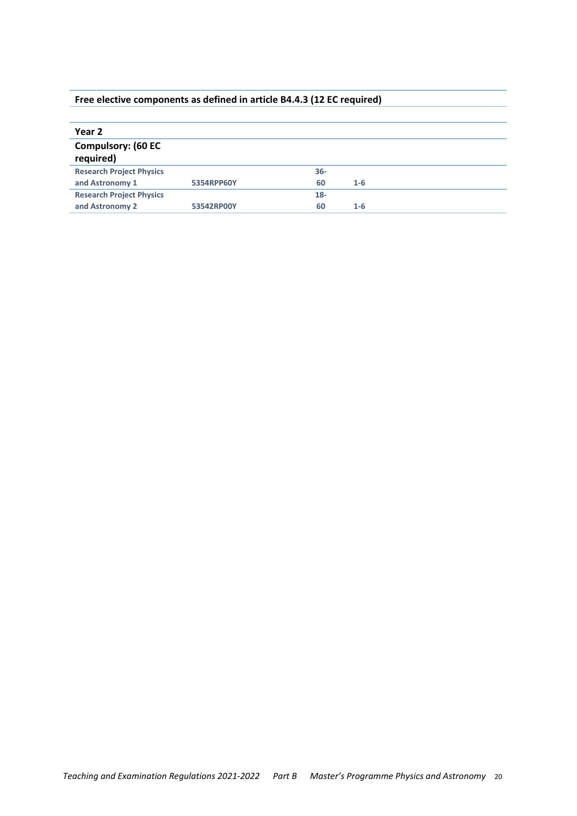### Free elective components as defined in article B4.4.3 (12 EC required)

| Year 2                                 |            |        |         |  |
|----------------------------------------|------------|--------|---------|--|
| <b>Compulsory: (60 EC</b><br>required) |            |        |         |  |
| <b>Research Project Physics</b>        |            | $36 -$ |         |  |
| and Astronomy 1                        | 5354RPP60Y | 60     | $1 - 6$ |  |
| <b>Research Project Physics</b>        |            | $18 -$ |         |  |
| and Astronomy 2                        | 53542RP00Y | 60     | $1 - 6$ |  |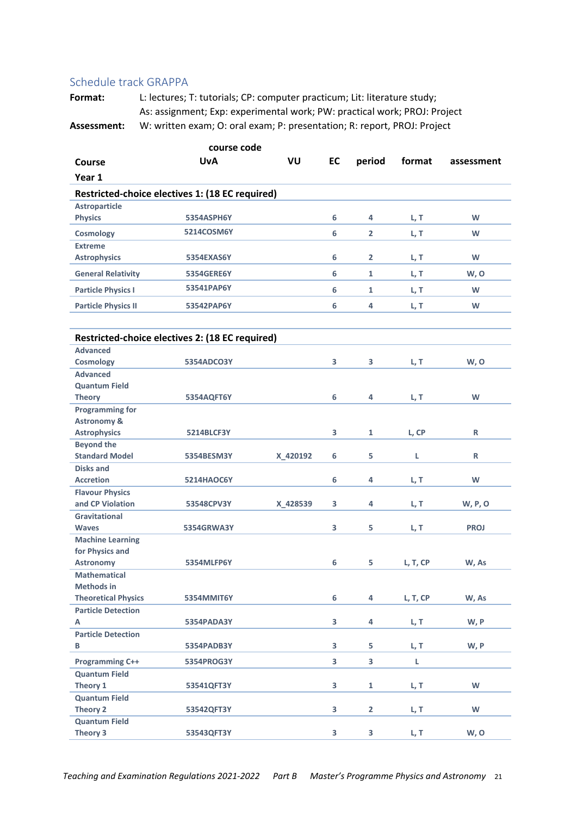#### Schedule track GRAPPA

Format: L: lectures; T: tutorials; CP: computer practicum; Lit: literature study; As: assignment; Exp: experimental work; PW: practical work; PROJ: Project **Assessment:** W: written exam; O: oral exam; P: presentation; R: report, PROJ: Project

| course code                              |                                                 |          |    |                |          |             |  |
|------------------------------------------|-------------------------------------------------|----------|----|----------------|----------|-------------|--|
| Course                                   | <b>UvA</b>                                      | VU       | EC | period         | format   | assessment  |  |
| Year 1                                   |                                                 |          |    |                |          |             |  |
|                                          | Restricted-choice electives 1: (18 EC required) |          |    |                |          |             |  |
| <b>Astroparticle</b>                     |                                                 |          |    |                |          |             |  |
| <b>Physics</b>                           | 5354ASPH6Y                                      |          | 6  | 4              | L, T     | W           |  |
| Cosmology                                | 5214COSM6Y                                      |          | 6  | $\overline{2}$ | L, T     | W           |  |
| <b>Extreme</b>                           |                                                 |          |    |                |          |             |  |
| <b>Astrophysics</b>                      | 5354EXAS6Y                                      |          | 6  | $\overline{2}$ | L, T     | W           |  |
| <b>General Relativity</b>                | <b>5354GERE6Y</b>                               |          | 6  | $\mathbf{1}$   | L, T     | W, O        |  |
| <b>Particle Physics I</b>                | 53541PAP6Y                                      |          | 6  | $\mathbf{1}$   | L, T     | W           |  |
| <b>Particle Physics II</b>               | 53542PAP6Y                                      |          | 6  | 4              | L, T     | W           |  |
|                                          |                                                 |          |    |                |          |             |  |
|                                          | Restricted-choice electives 2: (18 EC required) |          |    |                |          |             |  |
| <b>Advanced</b>                          |                                                 |          |    |                |          |             |  |
| <b>Cosmology</b>                         | 5354ADCO3Y                                      |          | 3  | 3              | L, T     | W, O        |  |
| <b>Advanced</b>                          |                                                 |          |    |                |          |             |  |
| <b>Quantum Field</b>                     |                                                 |          |    |                |          |             |  |
| <b>Theory</b>                            | 5354AQFT6Y                                      |          | 6  | 4              | L, T     | W           |  |
| <b>Programming for</b>                   |                                                 |          |    |                |          |             |  |
| <b>Astronomy &amp;</b>                   |                                                 |          | 3  |                |          | R           |  |
| <b>Astrophysics</b><br><b>Beyond the</b> | <b>5214BLCF3Y</b>                               |          |    | 1              | L, CP    |             |  |
| <b>Standard Model</b>                    | 5354BESM3Y                                      | X_420192 | 6  | 5              | L        | R           |  |
| <b>Disks and</b>                         |                                                 |          |    |                |          |             |  |
| <b>Accretion</b>                         | <b>5214HAOC6Y</b>                               |          | 6  | 4              | L, T     | W           |  |
| <b>Flavour Physics</b>                   |                                                 |          |    |                |          |             |  |
| and CP Violation                         | 53548CPV3Y                                      | X 428539 | 3  | 4              | L, T     | W, P, O     |  |
| <b>Gravitational</b>                     |                                                 |          |    |                |          |             |  |
| <b>Waves</b>                             | 5354GRWA3Y                                      |          | 3  | 5              | L, T     | <b>PROJ</b> |  |
| <b>Machine Learning</b>                  |                                                 |          |    |                |          |             |  |
| for Physics and                          |                                                 |          |    |                |          |             |  |
| <b>Astronomy</b>                         | 5354MLFP6Y                                      |          | 6  | 5              | L, T, CP | W, As       |  |
| <b>Mathematical</b>                      |                                                 |          |    |                |          |             |  |
| <b>Methods in</b>                        |                                                 |          |    |                |          |             |  |
| <b>Theoretical Physics</b>               | 5354MMIT6Y                                      |          | 6  | 4              | L, T, CP | W, As       |  |
| <b>Particle Detection</b>                |                                                 |          |    |                |          |             |  |
| А                                        | 5354PADA3Y                                      |          | 3  | 4              | L, T     | W, P        |  |
| <b>Particle Detection</b>                |                                                 |          |    |                |          |             |  |
| B                                        | 5354PADB3Y                                      |          | 3  | 5              | L, T     | W, P        |  |
| <b>Programming C++</b>                   | 5354PROG3Y                                      |          | 3  | 3              | L        |             |  |
| <b>Quantum Field</b>                     |                                                 |          |    |                |          |             |  |
| Theory 1                                 | 53541QFT3Y                                      |          | 3  | 1              | L, T     | W           |  |
| <b>Quantum Field</b>                     |                                                 |          |    |                |          |             |  |
| Theory 2                                 | 53542QFT3Y                                      |          | 3  | $\overline{2}$ | L, T     | W           |  |
| <b>Quantum Field</b>                     |                                                 |          |    |                |          |             |  |
| Theory 3                                 | 53543QFT3Y                                      |          | 3  | 3              | L, T     | W, O        |  |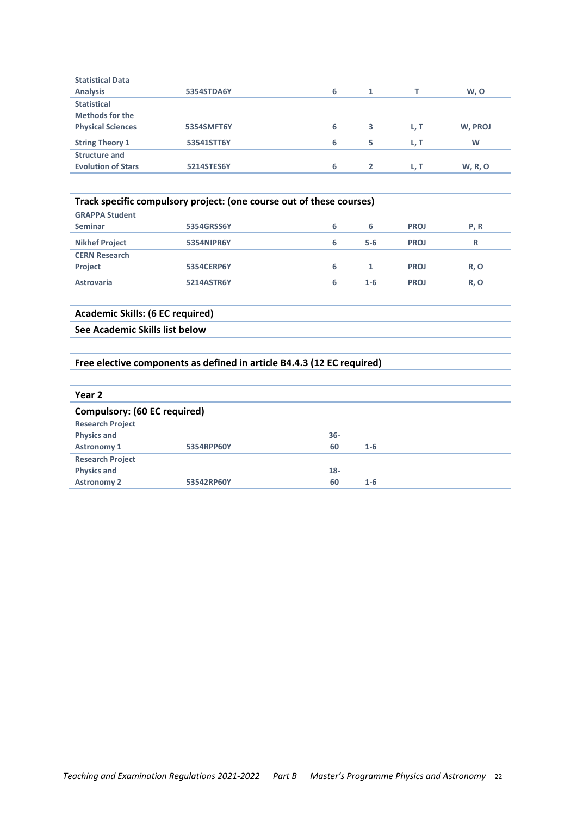| <b>Statistical Data</b>   |                   |   |                |      |                |
|---------------------------|-------------------|---|----------------|------|----------------|
| <b>Analysis</b>           | 5354STDA6Y        | 6 |                |      | W, O           |
| <b>Statistical</b>        |                   |   |                |      |                |
| <b>Methods for the</b>    |                   |   |                |      |                |
| <b>Physical Sciences</b>  | 5354SMFT6Y        | 6 | 3              | L, T | W, PROJ        |
| <b>String Theory 1</b>    | 53541STT6Y        | 6 | 5              | L, T | W              |
| <b>Structure and</b>      |                   |   |                |      |                |
| <b>Evolution of Stars</b> | <b>5214STES6Y</b> | 6 | $\overline{2}$ | L. T | <b>W, R, O</b> |
|                           |                   |   |                |      |                |

| Track specific compulsory project: (one course out of these courses) |                   |   |         |             |      |
|----------------------------------------------------------------------|-------------------|---|---------|-------------|------|
| <b>GRAPPA Student</b>                                                |                   |   |         |             |      |
| <b>Seminar</b>                                                       | 5354GRSS6Y        | 6 | 6       | <b>PROJ</b> | P, R |
| <b>Nikhef Project</b>                                                | 5354NIPR6Y        | 6 | $5 - 6$ | <b>PROJ</b> | R    |
| <b>CERN Research</b>                                                 |                   |   |         |             |      |
| <b>Project</b>                                                       | <b>5354CERP6Y</b> | 6 | 1       | <b>PROJ</b> | R, O |
| <b>Astrovaria</b>                                                    | <b>5214ASTR6Y</b> | 6 | $1 - 6$ | <b>PROJ</b> | R, O |

#### **Academic Skills: (6 EC required)**

See Academic Skills list below

#### Free elective components as defined in article B4.4.3 (12 EC required)

| Year 2                              |            |        |         |
|-------------------------------------|------------|--------|---------|
| <b>Compulsory: (60 EC required)</b> |            |        |         |
| <b>Research Project</b>             |            |        |         |
| <b>Physics and</b>                  |            | $36 -$ |         |
| <b>Astronomy 1</b>                  | 5354RPP60Y | 60     | $1 - 6$ |
| <b>Research Project</b>             |            |        |         |
| <b>Physics and</b>                  |            | $18 -$ |         |
| <b>Astronomy 2</b>                  | 53542RP60Y | 60     | $1 - 6$ |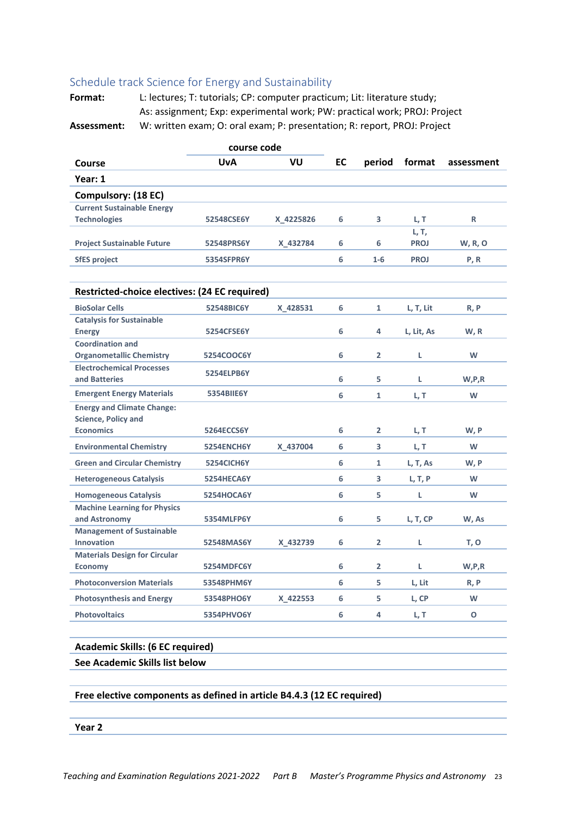#### Schedule track Science for Energy and Sustainability

Format: L: lectures; T: tutorials; CP: computer practicum; Lit: literature study; As: assignment; Exp: experimental work; PW: practical work; PROJ: Project Assessment: W: written exam; O: oral exam; P: presentation; R: report, PROJ: Project

|                                                                 | course code |           |                  |                |                      |                |
|-----------------------------------------------------------------|-------------|-----------|------------------|----------------|----------------------|----------------|
| Course                                                          | <b>UvA</b>  | VU        | <b>EC</b>        | period         | format               | assessment     |
| Year: 1                                                         |             |           |                  |                |                      |                |
| Compulsory: (18 EC)                                             |             |           |                  |                |                      |                |
| <b>Current Sustainable Energy</b>                               |             |           |                  |                |                      |                |
| <b>Technologies</b>                                             | 52548CSE6Y  | X 4225826 | 6                | 3              | L, T                 | R              |
| <b>Project Sustainable Future</b>                               | 52548PRS6Y  | X 432784  | 6                | 6              | L, T,<br><b>PROJ</b> | <b>W, R, O</b> |
| <b>SfES project</b>                                             | 5354SFPR6Y  |           | 6                | $1 - 6$        | <b>PROJ</b>          | P, R           |
|                                                                 |             |           |                  |                |                      |                |
| Restricted-choice electives: (24 EC required)                   |             |           |                  |                |                      |                |
| <b>BioSolar Cells</b>                                           | 52548BIC6Y  | X 428531  | 6                | 1              | L, T, Lit            | R, P           |
| <b>Catalysis for Sustainable</b><br><b>Energy</b>               | 5254CFSE6Y  |           | 6                | 4              | L, Lit, As           | W, R           |
| <b>Coordination and</b><br><b>Organometallic Chemistry</b>      | 5254COOC6Y  |           | 6                | $\overline{2}$ | L                    | W              |
| <b>Electrochemical Processes</b><br>and Batteries               | 5254ELPB6Y  |           | 6                | 5.             | L                    | W,P,R          |
| <b>Emergent Energy Materials</b>                                | 5354BIIE6Y  |           | 6                | $\mathbf{1}$   | L, T                 | W              |
| <b>Energy and Climate Change:</b><br><b>Science, Policy and</b> |             |           |                  |                |                      |                |
| <b>Economics</b>                                                | 5264ECCS6Y  |           | 6                | $\mathbf{2}$   | L, T                 | W, P           |
| <b>Environmental Chemistry</b>                                  | 5254ENCH6Y  | X 437004  | 6                | 3              | L, T                 | W              |
| <b>Green and Circular Chemistry</b>                             | 5254CICH6Y  |           | 6                | 1              | L, T, As             | W, P           |
| <b>Heterogeneous Catalysis</b>                                  | 5254HECA6Y  |           | 6                | 3.             | L, T, P              | W              |
| <b>Homogeneous Catalysis</b>                                    | 5254HOCA6Y  |           | 6                | 5.             | L                    | W              |
| <b>Machine Learning for Physics</b><br>and Astronomy            | 5354MLFP6Y  |           | 6                | 5.             | L, T, CP             | W, As          |
| <b>Management of Sustainable</b><br><b>Innovation</b>           | 52548MAS6Y  | X 432739  | 6                | $\overline{2}$ | L                    | T, O           |
| <b>Materials Design for Circular</b><br><b>Economy</b>          | 5254MDFC6Y  |           | 6                | $\overline{2}$ | L                    | W,P,R          |
| <b>Photoconversion Materials</b>                                | 53548PHM6Y  |           | 6                | 5              | L, Lit               | R, P           |
| <b>Photosynthesis and Energy</b>                                | 53548PHO6Y  | X_422553  | 6                | 5              | L, CP                | W              |
| <b>Photovoltaics</b>                                            | 5354PHVO6Y  |           | $\boldsymbol{6}$ | 4              | L, T                 | $\mathbf{o}$   |
|                                                                 |             |           |                  |                |                      |                |
| <b>Academic Skills: (6 EC required)</b>                         |             |           |                  |                |                      |                |
| See Academic Skills list below                                  |             |           |                  |                |                      |                |
|                                                                 |             |           |                  |                |                      |                |

Free elective components as defined in article B4.4.3 (12 EC required)

Year 2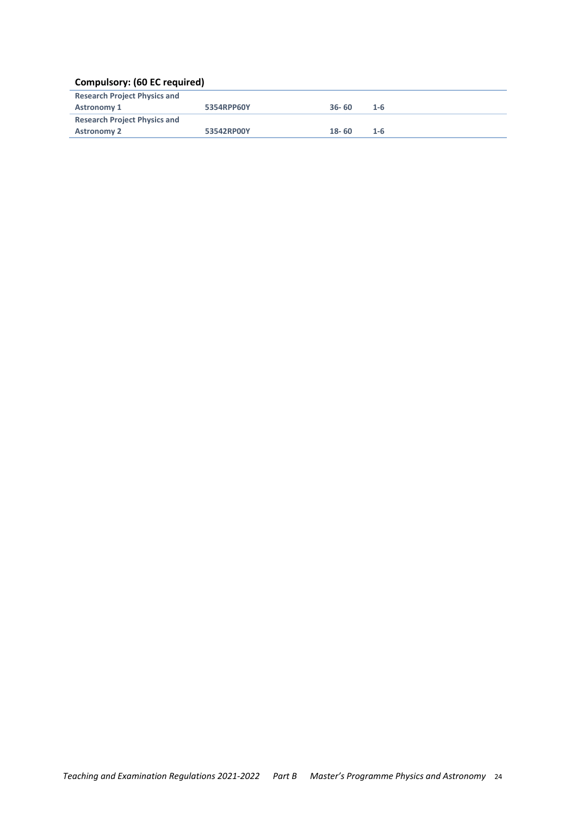### **Compulsory: (60 EC required)**

| <b>Research Project Physics and</b> |            |           |         |
|-------------------------------------|------------|-----------|---------|
| <b>Astronomy 1</b>                  | 5354RPP60Y | $36 - 60$ | $1 - 6$ |
| <b>Research Project Physics and</b> |            |           |         |
| <b>Astronomy 2</b>                  | 53542RP00Y | $18 - 60$ | $1 - 6$ |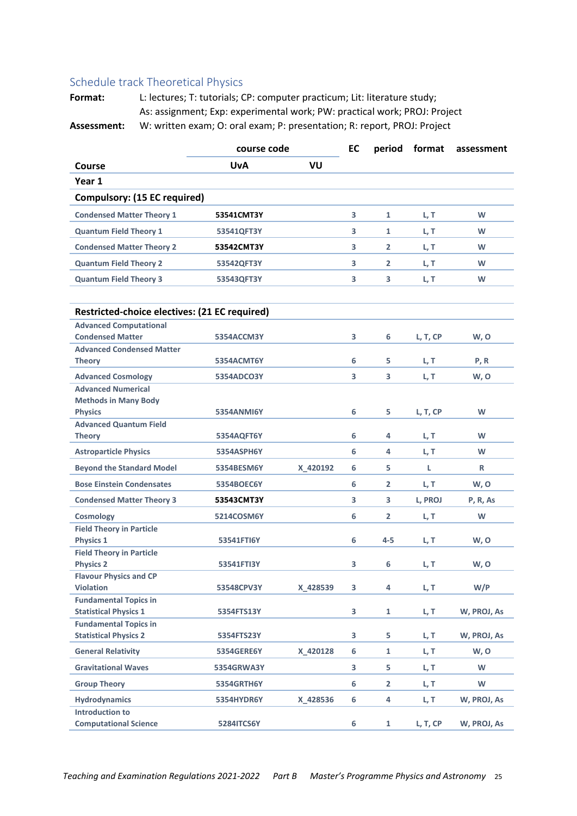## Schedule track Theoretical Physics

Format: L: lectures; T: tutorials; CP: computer practicum; Lit: literature study; As: assignment; Exp: experimental work; PW: practical work; PROJ: Project Assessment: W: written exam; O: oral exam; P: presentation; R: report, PROJ: Project

|                                                        | course code       | EC<br>period |   | format         | assessment |             |
|--------------------------------------------------------|-------------------|--------------|---|----------------|------------|-------------|
| Course                                                 | <b>UvA</b>        | VU           |   |                |            |             |
| Year 1                                                 |                   |              |   |                |            |             |
| <b>Compulsory: (15 EC required)</b>                    |                   |              |   |                |            |             |
| <b>Condensed Matter Theory 1</b>                       | 53541CMT3Y        |              | 3 | $\mathbf{1}$   | L, T       | W           |
| <b>Quantum Field Theory 1</b>                          | 53541QFT3Y        |              | 3 | $\mathbf{1}$   | L, T       | W           |
| <b>Condensed Matter Theory 2</b>                       | 53542CMT3Y        |              | 3 | $\overline{2}$ | L, T       | W           |
| <b>Quantum Field Theory 2</b>                          | 53542QFT3Y        |              | 3 | $\overline{2}$ | L, T       | W           |
| <b>Quantum Field Theory 3</b>                          | 53543QFT3Y        |              | 3 | 3              | L, T       | W           |
| Restricted-choice electives: (21 EC required)          |                   |              |   |                |            |             |
| <b>Advanced Computational</b>                          |                   |              |   |                |            |             |
| <b>Condensed Matter</b>                                | 5354ACCM3Y        |              | 3 | 6              | L, T, CP   | W, O        |
| <b>Advanced Condensed Matter</b>                       |                   |              |   |                |            |             |
| <b>Theory</b>                                          | 5354ACMT6Y        |              | 6 | 5.             | L, T       | P, R        |
| <b>Advanced Cosmology</b><br><b>Advanced Numerical</b> | 5354ADCO3Y        |              | 3 | 3              | L, T       | W, O        |
| <b>Methods in Many Body</b>                            |                   |              |   |                |            |             |
| <b>Physics</b>                                         | <b>5354ANMI6Y</b> |              | 6 | 5              | L, T, CP   | W           |
| <b>Advanced Quantum Field</b>                          |                   |              |   |                |            |             |
| <b>Theory</b>                                          | 5354AQFT6Y        |              | 6 | 4              | L, T       | W           |
| <b>Astroparticle Physics</b>                           | 5354ASPH6Y        |              | 6 | 4              | L, T       | W           |
| <b>Beyond the Standard Model</b>                       | 5354BESM6Y        | X 420192     | 6 | 5.             | L.         | R           |
| <b>Bose Einstein Condensates</b>                       | 5354BOEC6Y        |              | 6 | $\overline{2}$ | L, T       | W, O        |
| <b>Condensed Matter Theory 3</b>                       | 53543CMT3Y        |              | 3 | 3              | L, PROJ    | P, R, As    |
| <b>Cosmology</b>                                       | 5214COSM6Y        |              | 6 | $\overline{2}$ | L, T       | W           |
| <b>Field Theory in Particle</b>                        |                   |              |   |                |            |             |
| <b>Physics 1</b>                                       | 53541FTI6Y        |              | 6 | 4-5            | L, T       | W, O        |
| <b>Field Theory in Particle</b><br><b>Physics 2</b>    | 53541FTI3Y        |              | 3 | 6              | L, T       | W, O        |
| <b>Flavour Physics and CP</b>                          |                   |              |   |                |            |             |
| <b>Violation</b>                                       | 53548CPV3Y        | X 428539     | 3 | 4              | L, T       | W/P         |
| <b>Fundamental Topics in</b>                           |                   |              |   |                |            |             |
| <b>Statistical Physics 1</b>                           | 5354FTS13Y        |              | 3 | 1              | L, T       | W, PROJ, As |
| <b>Fundamental Topics in</b>                           |                   |              |   |                |            |             |
| <b>Statistical Physics 2</b>                           | 5354FTS23Y        |              | 3 | 5              | L, T       | W, PROJ, As |
| <b>General Relativity</b>                              | 5354GERE6Y        | X_420128     | 6 | $\mathbf{1}$   | L, T       | W, O        |
| <b>Gravitational Waves</b>                             | 5354GRWA3Y        |              | 3 | 5              | L, T       | W           |
| <b>Group Theory</b>                                    | 5354GRTH6Y        |              | 6 | $\mathbf{2}$   | L, T       | W           |
| <b>Hydrodynamics</b>                                   | 5354HYDR6Y        | X_428536     | 6 | 4              | L, T       | W, PROJ, As |
| <b>Introduction to</b>                                 |                   |              |   |                |            |             |
| <b>Computational Science</b>                           | 5284ITCS6Y        |              | 6 | $\mathbf{1}$   | L, T, CP   | W, PROJ, As |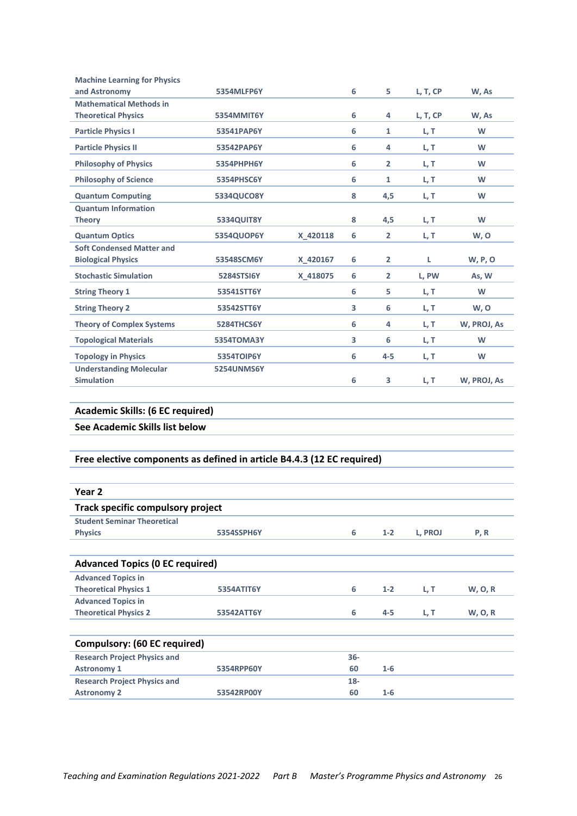| <b>Machine Learning for Physics</b>                                    |                   |          |        |                |          |                |
|------------------------------------------------------------------------|-------------------|----------|--------|----------------|----------|----------------|
| and Astronomy                                                          | 5354MLFP6Y        |          | 6      | 5.             | L, T, CP | W, As          |
| <b>Mathematical Methods in</b>                                         |                   |          |        |                |          |                |
| <b>Theoretical Physics</b>                                             | 5354MMIT6Y        |          | 6      | 4              | L, T, CP | W, As          |
| <b>Particle Physics I</b>                                              | 53541PAP6Y        |          | 6      | $\mathbf{1}$   | L, T     | W              |
| <b>Particle Physics II</b>                                             | 53542PAP6Y        |          | 6      | 4              | L, T     | W              |
| <b>Philosophy of Physics</b>                                           | 5354PHPH6Y        |          | 6      | $\overline{2}$ | L, T     | W              |
| <b>Philosophy of Science</b>                                           | 5354PHSC6Y        |          | 6      | $\mathbf{1}$   | L, T     | W              |
| <b>Quantum Computing</b>                                               | 5334QUCO8Y        |          | 8      | 4,5            | L, T     | W              |
| <b>Quantum Information</b>                                             |                   |          |        |                |          |                |
| <b>Theory</b>                                                          | 5334QUIT8Y        |          | 8      | 4,5            | L, T     | W              |
| <b>Quantum Optics</b>                                                  | 5354QUOP6Y        | X_420118 | 6      | $\overline{2}$ | L, T     | W, O           |
| <b>Soft Condensed Matter and</b><br><b>Biological Physics</b>          | 53548SCM6Y        | X 420167 | 6      | $\overline{2}$ | L        | <b>W, P, O</b> |
| <b>Stochastic Simulation</b>                                           | 5284STSI6Y        | X 418075 | 6      | $\overline{2}$ | L, PW    | As, W          |
| <b>String Theory 1</b>                                                 | 53541STT6Y        |          | 6      | 5              | L, T     | W              |
| <b>String Theory 2</b>                                                 | 53542STT6Y        |          | 3      | 6              | L, T     | W, O           |
| <b>Theory of Complex Systems</b>                                       | 5284THCS6Y        |          | 6      | 4              | L, T     | W, PROJ, As    |
| <b>Topological Materials</b>                                           | 5354TOMA3Y        |          | 3      | 6              | L, T     | W              |
| <b>Topology in Physics</b>                                             | 5354TOIP6Y        |          | 6      | 4-5            | L, T     | W              |
| <b>Understanding Molecular</b>                                         | <b>5254UNMS6Y</b> |          |        |                |          |                |
| <b>Simulation</b>                                                      |                   |          | 6      | 3              | L, T     | W, PROJ, As    |
|                                                                        |                   |          |        |                |          |                |
| <b>Academic Skills: (6 EC required)</b>                                |                   |          |        |                |          |                |
| See Academic Skills list below                                         |                   |          |        |                |          |                |
|                                                                        |                   |          |        |                |          |                |
| Free elective components as defined in article B4.4.3 (12 EC required) |                   |          |        |                |          |                |
|                                                                        |                   |          |        |                |          |                |
| Year <sub>2</sub>                                                      |                   |          |        |                |          |                |
| <b>Track specific compulsory project</b>                               |                   |          |        |                |          |                |
| <b>Student Seminar Theoretical</b>                                     |                   |          |        |                |          |                |
| <b>Physics</b>                                                         | 5354SSPH6Y        |          | 6      | $1 - 2$        | L, PROJ  | P, R           |
|                                                                        |                   |          |        |                |          |                |
| <b>Advanced Topics (0 EC required)</b>                                 |                   |          |        |                |          |                |
| <b>Advanced Topics in</b>                                              |                   |          |        |                |          |                |
| <b>Theoretical Physics 1</b>                                           | 5354ATIT6Y        |          | 6      | $1 - 2$        | L, T     | <b>W, O, R</b> |
| <b>Advanced Topics in</b>                                              |                   |          |        |                |          |                |
| <b>Theoretical Physics 2</b>                                           | 53542ATT6Y        |          | 6      | 4-5            | L, T     | W, O, R        |
|                                                                        |                   |          |        |                |          |                |
| <b>Compulsory: (60 EC required)</b>                                    |                   |          |        |                |          |                |
| <b>Research Project Physics and</b>                                    |                   |          | $36 -$ |                |          |                |
| <b>Astronomy 1</b>                                                     | 5354RPP60Y        |          | 60     | $1 - 6$        |          |                |
| <b>Research Project Physics and</b>                                    |                   |          | $18-$  |                |          |                |
| <b>Astronomy 2</b>                                                     | 53542RP00Y        |          | 60     | $1 - 6$        |          |                |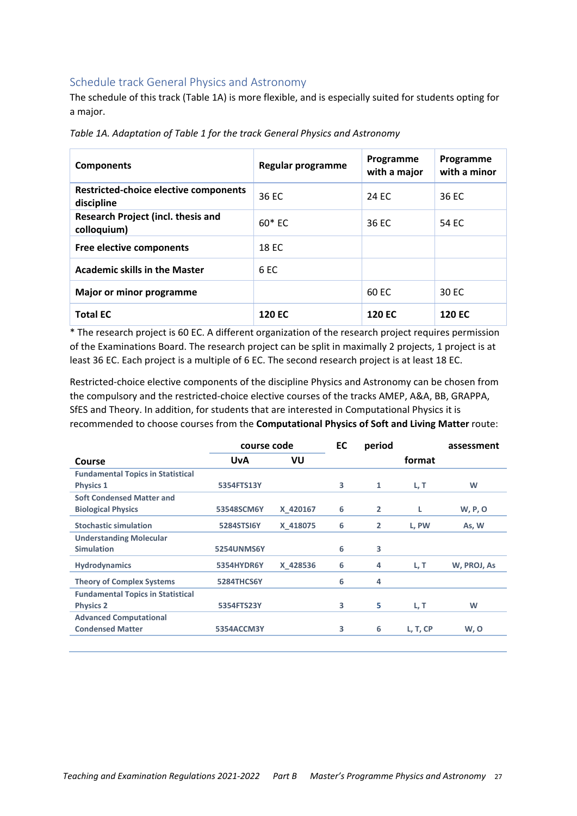### Schedule track General Physics and Astronomy

The schedule of this track (Table 1A) is more flexible, and is especially suited for students opting for a major.

| <b>Components</b>                                   | Regular programme | Programme<br>with a major | Programme<br>with a minor |
|-----------------------------------------------------|-------------------|---------------------------|---------------------------|
| Restricted-choice elective components<br>discipline | 36 EC             | 24 FC                     | 36 EC                     |
| Research Project (incl. thesis and<br>colloquium)   | $60*FC$           | 36 EC                     | 54 EC                     |
| Free elective components                            | 18 EC             |                           |                           |
| <b>Academic skills in the Master</b>                | 6 <sub>EC</sub>   |                           |                           |
| Major or minor programme                            |                   | 60 EC                     | 30 EC                     |
| <b>Total EC</b>                                     | <b>120 EC</b>     | <b>120 EC</b>             | <b>120 EC</b>             |

Table 1A. Adaptation of Table 1 for the track General Physics and Astronomy

\* The research project is 60 EC. A different organization of the research project requires permission of the Examinations Board. The research project can be split in maximally 2 projects, 1 project is at least 36 EC. Each project is a multiple of 6 EC. The second research project is at least 18 EC.

Restricted-choice elective components of the discipline Physics and Astronomy can be chosen from the compulsory and the restricted-choice elective courses of the tracks AMEP, A&A, BB, GRAPPA, SfES and Theory. In addition, for students that are interested in Computational Physics it is recommended to choose courses from the Computational Physics of Soft and Living Matter route:

|                                          | course code       |          | EC | period         |          | assessment  |
|------------------------------------------|-------------------|----------|----|----------------|----------|-------------|
| Course                                   | <b>UvA</b>        | VU       |    |                | format   |             |
| <b>Fundamental Topics in Statistical</b> |                   |          |    |                |          |             |
| <b>Physics 1</b>                         | 5354FTS13Y        |          | 3  | 1              | L, T     | W           |
| <b>Soft Condensed Matter and</b>         |                   |          |    |                |          |             |
| <b>Biological Physics</b>                | 53548SCM6Y        | X 420167 | 6  | $\overline{2}$ | L        | W, P, O     |
| <b>Stochastic simulation</b>             | 5284STSI6Y        | X 418075 | 6  | $\overline{2}$ | L, PW    | As, W       |
| <b>Understanding Molecular</b>           |                   |          |    |                |          |             |
| <b>Simulation</b>                        | <b>5254UNMS6Y</b> |          | 6  | 3              |          |             |
| <b>Hydrodynamics</b>                     | 5354HYDR6Y        | X 428536 | 6  | 4              | L, T     | W, PROJ, As |
| <b>Theory of Complex Systems</b>         | 5284THCS6Y        |          | 6  | 4              |          |             |
| <b>Fundamental Topics in Statistical</b> |                   |          |    |                |          |             |
| <b>Physics 2</b>                         | 5354FTS23Y        |          | 3  | 5              | L, T     | W           |
| <b>Advanced Computational</b>            |                   |          |    |                |          |             |
| <b>Condensed Matter</b>                  | 5354ACCM3Y        |          | 3  | 6              | L, T, CP | W, O        |
|                                          |                   |          |    |                |          |             |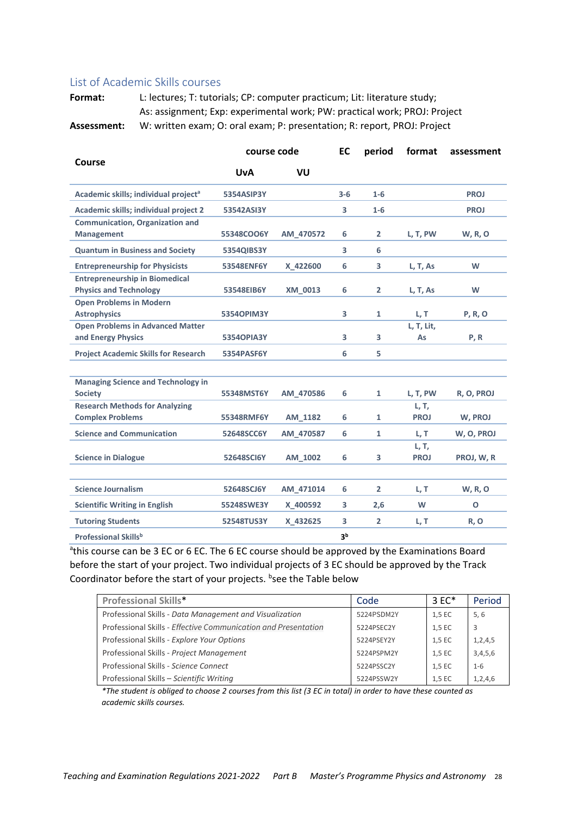#### List of Academic Skills courses

Format: L: lectures; T: tutorials; CP: computer practicum; Lit: literature study; As: assignment; Exp: experimental work; PW: practical work; PROJ: Project Assessment: W: written exam; O: oral exam; P: presentation; R: report, PROJ: Project

|                                                                        | course code       |           | EC                      | period         | format               | assessment     |
|------------------------------------------------------------------------|-------------------|-----------|-------------------------|----------------|----------------------|----------------|
| Course                                                                 | <b>UvA</b>        | VU        |                         |                |                      |                |
| Academic skills; individual project <sup>a</sup>                       | 5354ASIP3Y        |           | $3-6$                   | $1 - 6$        |                      | <b>PROJ</b>    |
| Academic skills; individual project 2                                  | 53542ASI3Y        |           | $\overline{\mathbf{3}}$ | $1-6$          |                      | <b>PROJ</b>    |
| <b>Communication, Organization and</b><br><b>Management</b>            | 55348COO6Y        | AM_470572 | 6                       | 2              | L, T, PW             | <b>W, R, O</b> |
| <b>Quantum in Business and Society</b>                                 | 5354QIBS3Y        |           | 3                       | 6              |                      |                |
| <b>Entrepreneurship for Physicists</b>                                 | 53548ENF6Y        | X 422600  | 6                       | 3              | L, T, As             | W              |
| <b>Entrepreneurship in Biomedical</b><br><b>Physics and Technology</b> | 53548EIB6Y        | XM 0013   | 6                       | 2              | L, T, As             | W              |
| <b>Open Problems in Modern</b><br><b>Astrophysics</b>                  | 53540PIM3Y        |           | 3                       | 1              | L, T                 | <b>P, R, O</b> |
| <b>Open Problems in Advanced Matter</b><br>and Energy Physics          | <b>53540PIA3Y</b> |           | 3                       | 3              | L, T, Lit,<br>As     | P, R           |
| <b>Project Academic Skills for Research</b>                            | 5354PASF6Y        |           | 6                       | 5.             |                      |                |
| <b>Managing Science and Technology in</b><br><b>Society</b>            | 55348MST6Y        | AM 470586 | 6                       | 1              | L, T, PW             | R, O, PROJ     |
| <b>Research Methods for Analyzing</b><br><b>Complex Problems</b>       | 55348RMF6Y        | AM 1182   | 6                       | $\mathbf{1}$   | L, T,<br><b>PROJ</b> | W, PROJ        |
| <b>Science and Communication</b>                                       | 52648SCC6Y        | AM 470587 | 6                       | $\mathbf{1}$   | L, T                 | W, O, PROJ     |
| <b>Science in Dialogue</b>                                             | 52648SCI6Y        | AM 1002   | 6                       | 3              | L, T,<br><b>PROJ</b> | PROJ, W, R     |
| <b>Science Journalism</b>                                              | 52648SCJ6Y        | AM_471014 | 6                       | $\overline{2}$ | L, T                 | <b>W, R, O</b> |
| <b>Scientific Writing in English</b>                                   | 55248SWE3Y        | X 400592  | 3                       | 2,6            | W                    | $\mathbf{o}$   |
| <b>Tutoring Students</b>                                               | 52548TUS3Y        | X 432625  | 3                       | $\overline{2}$ | L, T                 | R, O           |
| <b>Professional Skillsb</b>                                            |                   |           | 3 <sup>b</sup>          |                |                      |                |

<sup>a</sup>this course can be 3 EC or 6 EC. The 6 EC course should be approved by the Examinations Board before the start of your project. Two individual projects of 3 EC should be approved by the Track Coordinator before the start of your projects. **bsee the Table below** 

| <b>Professional Skills*</b>                                    | Code       | $3 F C^*$ | Period     |
|----------------------------------------------------------------|------------|-----------|------------|
| Professional Skills - Data Management and Visualization        | 5224PSDM2Y | 1,5 EC    | 5, 6       |
| Professional Skills - Effective Communication and Presentation | 5224PSEC2Y | 1.5 EC    | -3         |
| Professional Skills - Explore Your Options                     | 5224PSEY2Y | 1,5 EC    | 1, 2, 4, 5 |
| Professional Skills - Project Management                       | 5224PSPM2Y | 1,5 EC    | 3,4,5,6    |
| Professional Skills - Science Connect                          | 5224PSSC2Y | 1,5 EC    | $1 - 6$    |
| Professional Skills - Scientific Writing                       | 5224PSSW2Y | 1,5 EC    | 1,2,4,6    |

\*The student is obliged to choose 2 courses from this list (3 EC in total) in order to have these counted as academic skills courses.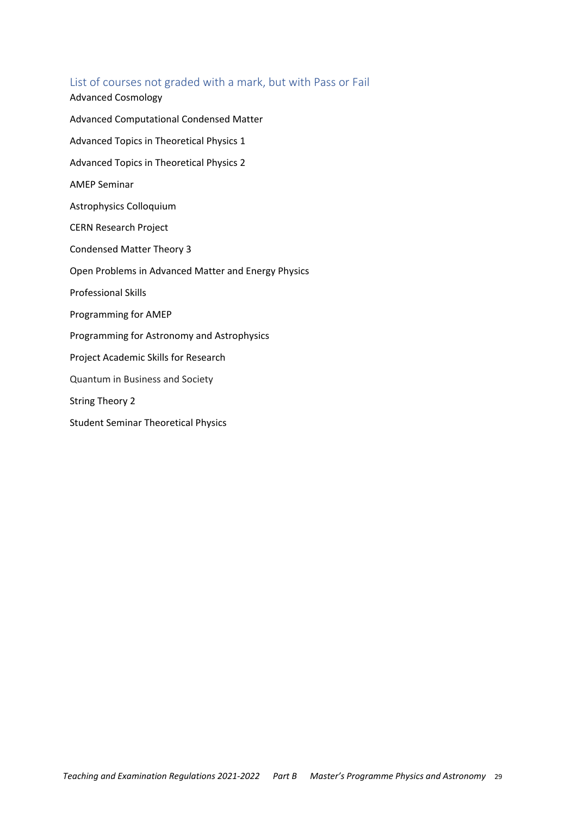### List of courses not graded with a mark, but with Pass or Fail

**Advanced Cosmology** Advanced Computational Condensed Matter Advanced Topics in Theoretical Physics 1 Advanced Topics in Theoretical Physics 2 **AMEP Seminar Astrophysics Colloquium CERN Research Project Condensed Matter Theory 3** Open Problems in Advanced Matter and Energy Physics **Professional Skills** Programming for AMEP Programming for Astronomy and Astrophysics Project Academic Skills for Research Quantum in Business and Society **String Theory 2** 

**Student Seminar Theoretical Physics**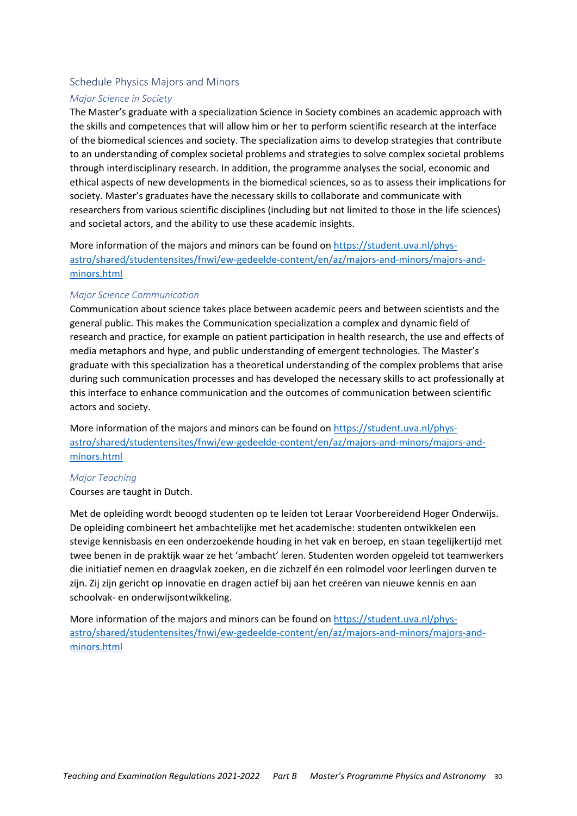#### Schedule Physics Majors and Minors

#### **Major Science in Society**

The Master's graduate with a specialization Science in Society combines an academic approach with the skills and competences that will allow him or her to perform scientific research at the interface of the biomedical sciences and society. The specialization aims to develop strategies that contribute to an understanding of complex societal problems and strategies to solve complex societal problems through interdisciplinary research. In addition, the programme analyses the social, economic and ethical aspects of new developments in the biomedical sciences, so as to assess their implications for society. Master's graduates have the necessary skills to collaborate and communicate with researchers from various scientific disciplines (including but not limited to those in the life sciences) and societal actors, and the ability to use these academic insights.

More information of the majors and minors can be found on https://student.uva.nl/physastro/shared/studentensites/fnwi/ew-gedeelde-content/en/az/majors-and-minors/majors-andminors.html

#### **Major Science Communication**

Communication about science takes place between academic peers and between scientists and the general public. This makes the Communication specialization a complex and dynamic field of research and practice, for example on patient participation in health research, the use and effects of media metaphors and hype, and public understanding of emergent technologies. The Master's graduate with this specialization has a theoretical understanding of the complex problems that arise during such communication processes and has developed the necessary skills to act professionally at this interface to enhance communication and the outcomes of communication between scientific actors and society.

More information of the majors and minors can be found on https://student.uva.nl/physastro/shared/studentensites/fnwi/ew-gedeelde-content/en/az/majors-and-minors/majors-andminors.html

#### **Major Teaching**

Courses are taught in Dutch.

Met de opleiding wordt beoogd studenten op te leiden tot Leraar Voorbereidend Hoger Onderwijs. De opleiding combineert het ambachtelijke met het academische: studenten ontwikkelen een stevige kennisbasis en een onderzoekende houding in het vak en beroep, en staan tegelijkertijd met twee benen in de praktijk waar ze het 'ambacht' leren. Studenten worden opgeleid tot teamwerkers die initiatief nemen en draagvlak zoeken, en die zichzelf én een rolmodel voor leerlingen durven te zijn. Zij zijn gericht op innovatie en dragen actief bij aan het creëren van nieuwe kennis en aan schoolvak- en onderwijsontwikkeling.

More information of the majors and minors can be found on https://student.uva.nl/physastro/shared/studentensites/fnwi/ew-gedeelde-content/en/az/majors-and-minors/majors-andminors.html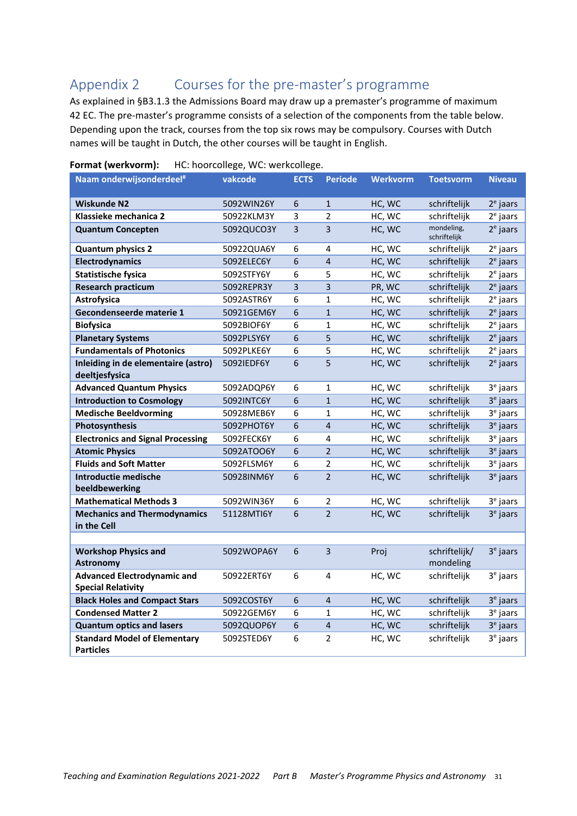#### Courses for the pre-master's programme Appendix 2

As explained in §B3.1.3 the Admissions Board may draw up a premaster's programme of maximum 42 EC. The pre-master's programme consists of a selection of the components from the table below. Depending upon the track, courses from the top six rows may be compulsory. Courses with Dutch names will be taught in Dutch, the other courses will be taught in English.

| Naam onderwijsonderdeel#                                        | vakcode    | <b>ECTS</b>    | <b>Periode</b> | <b>Werkvorm</b> | <b>Toetsvorm</b>           | <b>Niveau</b>        |
|-----------------------------------------------------------------|------------|----------------|----------------|-----------------|----------------------------|----------------------|
| <b>Wiskunde N2</b>                                              | 5092WIN26Y | 6              | $\mathbf{1}$   | HC, WC          | schriftelijk               | $2e$ jaars           |
| Klassieke mechanica 2                                           | 50922KLM3Y | 3              | $\overline{2}$ | HC, WC          | schriftelijk               | $2e$ jaars           |
| <b>Quantum Concepten</b>                                        | 5092QUCO3Y | 3              | 3              | HC, WC          | mondeling,<br>schriftelijk | $2e$ jaars           |
| <b>Quantum physics 2</b>                                        | 50922QUA6Y | 6              | 4              | HC, WC          | schriftelijk               | $2e$ jaars           |
| Electrodynamics                                                 | 5092ELEC6Y | 6              | $\overline{4}$ | HC, WC          | schriftelijk               | $2e$ jaars           |
| <b>Statistische fysica</b>                                      | 5092STFY6Y | 6              | 5              | HC, WC          | schriftelijk               | $2e$ jaars           |
| <b>Research practicum</b>                                       | 5092REPR3Y | $\overline{3}$ | 3              | PR, WC          | schriftelijk               | $2e$ jaars           |
| Astrofysica                                                     | 5092ASTR6Y | 6              | $\mathbf{1}$   | HC, WC          | schriftelijk               | $2e$ jaars           |
| Gecondenseerde materie 1                                        | 50921GEM6Y | 6              | $\mathbf{1}$   | HC, WC          | schriftelijk               | $2e$ jaars           |
| <b>Biofysica</b>                                                | 5092BIOF6Y | 6              | 1              | HC, WC          | schriftelijk               | $2e$ jaars           |
| <b>Planetary Systems</b>                                        | 5092PLSY6Y | 6              | 5              | HC, WC          | schriftelijk               | $2e$ jaars           |
| <b>Fundamentals of Photonics</b>                                | 5092PLKE6Y | 6              | 5              | HC, WC          | schriftelijk               | $2e$ jaars           |
| Inleiding in de elementaire (astro)<br>deeltjesfysica           | 5092IEDF6Y | 6              | 5              | HC, WC          | schriftelijk               | $2e$ jaars           |
| <b>Advanced Quantum Physics</b>                                 | 5092ADQP6Y | 6              | $\mathbf{1}$   | HC, WC          | schriftelijk               | 3 <sup>e</sup> jaars |
| <b>Introduction to Cosmology</b>                                | 5092INTC6Y | 6              | $\mathbf{1}$   | HC, WC          | schriftelijk               | $3e$ jaars           |
| <b>Medische Beeldvorming</b>                                    | 50928MEB6Y | 6              | 1              | HC, WC          | schriftelijk               | $3e$ jaars           |
| Photosynthesis                                                  | 5092PHOT6Y | 6              | $\overline{4}$ | HC, WC          | schriftelijk               | 3 <sup>e</sup> jaars |
| <b>Electronics and Signal Processing</b>                        | 5092FECK6Y | 6              | 4              | HC, WC          | schriftelijk               | $3e$ jaars           |
| <b>Atomic Physics</b>                                           | 5092ATOO6Y | 6              | $\overline{2}$ | HC, WC          | schriftelijk               | $3e$ jaars           |
| <b>Fluids and Soft Matter</b>                                   | 5092FLSM6Y | 6              | $\overline{2}$ | HC, WC          | schriftelijk               | 3 <sup>e</sup> jaars |
| Introductie medische<br>beeldbewerking                          | 50928INM6Y | 6              | $\overline{2}$ | HC, WC          | schriftelijk               | $3e$ jaars           |
| <b>Mathematical Methods 3</b>                                   | 5092WIN36Y | 6              | $\overline{2}$ | HC, WC          | schriftelijk               | $3e$ jaars           |
| <b>Mechanics and Thermodynamics</b><br>in the Cell              | 51128MTI6Y | 6              | $\overline{2}$ | HC, WC          | schriftelijk               | $3e$ jaars           |
|                                                                 |            |                |                |                 |                            |                      |
| <b>Workshop Physics and</b>                                     | 5092WOPA6Y | 6              | 3              | Proj            | schriftelijk/              | $3e$ jaars           |
| <b>Astronomy</b>                                                |            |                |                |                 | mondeling                  |                      |
| <b>Advanced Electrodynamic and</b><br><b>Special Relativity</b> | 50922ERT6Y | 6              | 4              | HC, WC          | schriftelijk               | $3e$ jaars           |
| <b>Black Holes and Compact Stars</b>                            | 5092COST6Y | 6              | $\overline{4}$ | HC, WC          | schriftelijk               | $3e$ jaars           |
| <b>Condensed Matter 2</b>                                       | 50922GEM6Y | 6              | 1              | HC, WC          | schriftelijk               | $3e$ jaars           |
| <b>Quantum optics and lasers</b>                                | 5092QUOP6Y | 6              | $\overline{4}$ | HC, WC          | schriftelijk               | $3e$ jaars           |
| <b>Standard Model of Elementary</b><br><b>Particles</b>         | 5092STED6Y | 6              | $\overline{2}$ | HC, WC          | schriftelijk               | $3e$ jaars           |

#### Format (werkvorm): HC: hoorcollege, WC: werkcollege.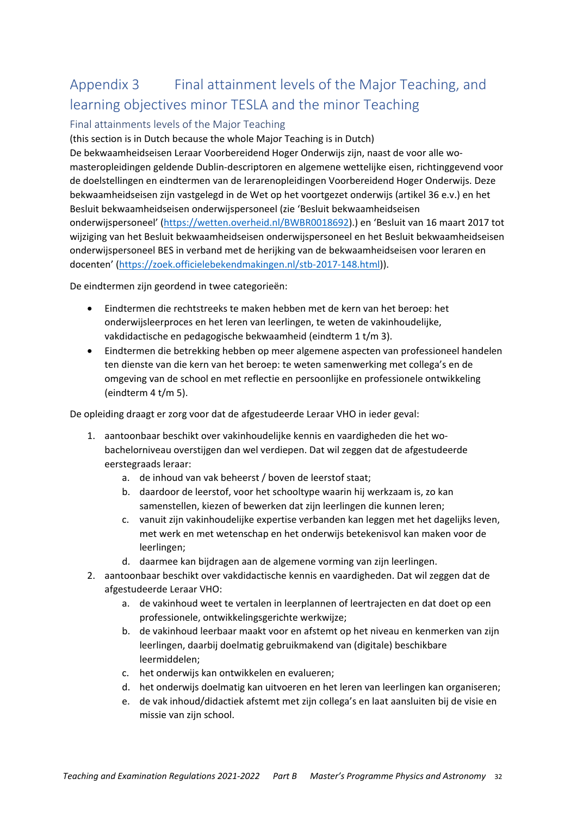### Final attainment levels of the Major Teaching, and Appendix 3 learning objectives minor TESLA and the minor Teaching

### Final attainments levels of the Major Teaching

(this section is in Dutch because the whole Major Teaching is in Dutch)

De bekwaamheidseisen Leraar Voorbereidend Hoger Onderwijs zijn, naast de voor alle womasteropleidingen geldende Dublin-descriptoren en algemene wettelijke eisen, richtinggevend voor de doelstellingen en eindtermen van de lerarenopleidingen Voorbereidend Hoger Onderwijs. Deze bekwaamheidseisen zijn vastgelegd in de Wet op het voortgezet onderwijs (artikel 36 e.v.) en het Besluit bekwaamheidseisen onderwijspersoneel (zie 'Besluit bekwaamheidseisen onderwijspersoneel' (https://wetten.overheid.nl/BWBR0018692).) en 'Besluit van 16 maart 2017 tot wijziging van het Besluit bekwaamheidseisen onderwijspersoneel en het Besluit bekwaamheidseisen onderwijspersoneel BES in verband met de herijking van de bekwaamheidseisen voor leraren en docenten' (https://zoek.officielebekendmakingen.nl/stb-2017-148.html)).

De eindtermen zijn geordend in twee categorieën:

- $\bullet$ Eindtermen die rechtstreeks te maken hebben met de kern van het beroep: het onderwijsleerproces en het leren van leerlingen, te weten de vakinhoudelijke, vakdidactische en pedagogische bekwaamheid (eindterm 1 t/m 3).
- $\bullet$ Eindtermen die betrekking hebben op meer algemene aspecten van professioneel handelen ten dienste van die kern van het beroep: te weten samenwerking met collega's en de omgeving van de school en met reflectie en persoonlijke en professionele ontwikkeling (eindterm  $4 t/m 5$ ).

De opleiding draagt er zorg voor dat de afgestudeerde Leraar VHO in ieder geval:

- 1. aantoonbaar beschikt over vakinhoudelijke kennis en vaardigheden die het wobachelorniveau overstijgen dan wel verdiepen. Dat wil zeggen dat de afgestudeerde eerstegraads leraar:
	- a. de inhoud van vak beheerst / boven de leerstof staat;
	- b. daardoor de leerstof, voor het schooltype waarin hij werkzaam is, zo kan samenstellen, kiezen of bewerken dat zijn leerlingen die kunnen leren;
	- c. vanuit zijn vakinhoudelijke expertise verbanden kan leggen met het dagelijks leven, met werk en met wetenschap en het onderwijs betekenisvol kan maken voor de leerlingen;
	- d. daarmee kan bijdragen aan de algemene vorming van zijn leerlingen.
- 2. aantoonbaar beschikt over vakdidactische kennis en vaardigheden. Dat wil zeggen dat de afgestudeerde Leraar VHO:
	- a. de vakinhoud weet te vertalen in leerplannen of leertrajecten en dat doet op een professionele, ontwikkelingsgerichte werkwijze;
	- b. de vakinhoud leerbaar maakt voor en afstemt op het niveau en kenmerken van zijn leerlingen, daarbij doelmatig gebruikmakend van (digitale) beschikbare leermiddelen;
	- c. het onderwijs kan ontwikkelen en evalueren;
	- d. het onderwijs doelmatig kan uitvoeren en het leren van leerlingen kan organiseren;
	- e. de vak inhoud/didactiek afstemt met zijn collega's en laat aansluiten bij de visie en missie van zijn school.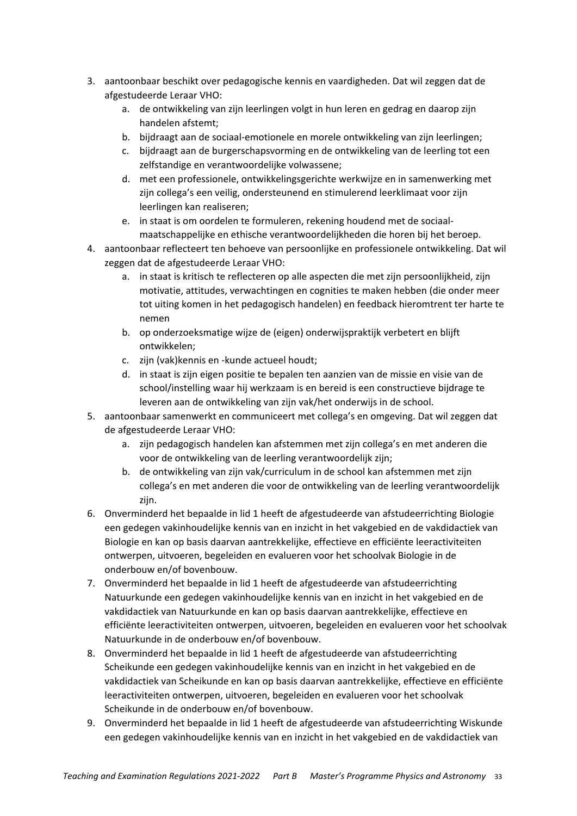- 3. aantoonbaar beschikt over pedagogische kennis en vaardigheden. Dat wil zeggen dat de afgestudeerde Leraar VHO:
	- a. de ontwikkeling van zijn leerlingen volgt in hun leren en gedrag en daarop zijn handelen afstemt;
	- b. bijdraagt aan de sociaal-emotionele en morele ontwikkeling van zijn leerlingen;
	- c. bijdraagt aan de burgerschapsvorming en de ontwikkeling van de leerling tot een zelfstandige en verantwoordelijke volwassene;
	- d. met een professionele, ontwikkelingsgerichte werkwijze en in samenwerking met zijn collega's een veilig, ondersteunend en stimulerend leerklimaat voor zijn leerlingen kan realiseren;
	- e. in staat is om oordelen te formuleren, rekening houdend met de sociaalmaatschappelijke en ethische verantwoordelijkheden die horen bij het beroep.
- 4. aantoonbaar reflecteert ten behoeve van persoonlijke en professionele ontwikkeling. Dat wil zeggen dat de afgestudeerde Leraar VHO:
	- a. in staat is kritisch te reflecteren op alle aspecten die met zijn persoonlijkheid, zijn motivatie, attitudes, verwachtingen en cognities te maken hebben (die onder meer tot uiting komen in het pedagogisch handelen) en feedback hieromtrent ter harte te nemen
	- b. op onderzoeksmatige wijze de (eigen) onderwijspraktijk verbetert en blijft ontwikkelen:
	- c. zijn (vak) kennis en kunde actueel houdt;
	- d. in staat is zijn eigen positie te bepalen ten aanzien van de missie en visie van de school/instelling waar hij werkzaam is en bereid is een constructieve bijdrage te leveren aan de ontwikkeling van zijn vak/het onderwijs in de school.
- 5. aantoonbaar samenwerkt en communiceert met collega's en omgeving. Dat wil zeggen dat de afgestudeerde Leraar VHO:
	- a. zijn pedagogisch handelen kan afstemmen met zijn collega's en met anderen die voor de ontwikkeling van de leerling verantwoordelijk zijn;
	- b. de ontwikkeling van zijn vak/curriculum in de school kan afstemmen met zijn collega's en met anderen die voor de ontwikkeling van de leerling verantwoordelijk zijn.
- 6. Onverminderd het bepaalde in lid 1 heeft de afgestudeerde van afstudeerrichting Biologie een gedegen vakinhoudelijke kennis van en inzicht in het vakgebied en de vakdidactiek van Biologie en kan op basis daarvan aantrekkelijke, effectieve en efficiënte leeractiviteiten ontwerpen, uitvoeren, begeleiden en evalueren voor het schoolvak Biologie in de onderbouw en/of bovenbouw.
- 7. Onverminderd het bepaalde in lid 1 heeft de afgestudeerde van afstudeerrichting Natuurkunde een gedegen vakinhoudelijke kennis van en inzicht in het vakgebied en de vakdidactiek van Natuurkunde en kan op basis daarvan aantrekkelijke, effectieve en efficiënte leeractiviteiten ontwerpen, uitvoeren, begeleiden en evalueren voor het schoolvak Natuurkunde in de onderbouw en/of bovenbouw.
- 8. Onverminderd het bepaalde in lid 1 heeft de afgestudeerde van afstudeerrichting Scheikunde een gedegen vakinhoudelijke kennis van en inzicht in het vakgebied en de vakdidactiek van Scheikunde en kan op basis daarvan aantrekkelijke, effectieve en efficiënte leeractiviteiten ontwerpen, uitvoeren, begeleiden en evalueren voor het schoolvak Scheikunde in de onderbouw en/of bovenbouw.
- 9. Onverminderd het bepaalde in lid 1 heeft de afgestudeerde van afstudeerrichting Wiskunde een gedegen vakinhoudelijke kennis van en inzicht in het vakgebied en de vakdidactiek van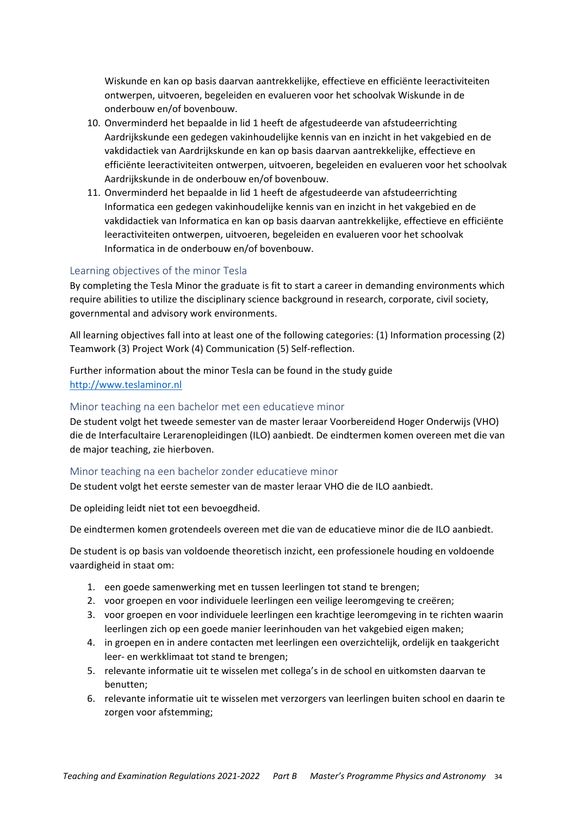Wiskunde en kan op basis daarvan aantrekkelijke, effectieve en efficiënte leeractiviteiten ontwerpen, uitvoeren, begeleiden en evalueren voor het schoolvak Wiskunde in de onderbouw en/of bovenbouw.

- 10. Onverminderd het bepaalde in lid 1 heeft de afgestudeerde van afstudeerrichting Aardrijkskunde een gedegen vakinhoudelijke kennis van en inzicht in het vakgebied en de vakdidactiek van Aardrijkskunde en kan op basis daarvan aantrekkelijke, effectieve en efficiënte leeractiviteiten ontwerpen, uitvoeren, begeleiden en evalueren voor het schoolvak Aardrijkskunde in de onderbouw en/of bovenbouw.
- 11. Onverminderd het bepaalde in lid 1 heeft de afgestudeerde van afstudeerrichting Informatica een gedegen vakinhoudelijke kennis van en inzicht in het vakgebied en de vakdidactiek van Informatica en kan op basis daarvan aantrekkelijke, effectieve en efficiënte leeractiviteiten ontwerpen, uitvoeren, begeleiden en evalueren voor het schoolvak Informatica in de onderbouw en/of bovenbouw.

#### Learning objectives of the minor Tesla

By completing the Tesla Minor the graduate is fit to start a career in demanding environments which require abilities to utilize the disciplinary science background in research, corporate, civil society, governmental and advisory work environments.

All learning objectives fall into at least one of the following categories: (1) Information processing (2) Teamwork (3) Project Work (4) Communication (5) Self-reflection.

Further information about the minor Tesla can be found in the study guide http://www.teslaminor.nl

#### Minor teaching na een bachelor met een educatieve minor

De student volgt het tweede semester van de master leraar Voorbereidend Hoger Onderwijs (VHO) die de Interfacultaire Lerarenopleidingen (ILO) aanbiedt. De eindtermen komen overeen met die van de major teaching, zie hierboven.

#### Minor teaching na een bachelor zonder educatieve minor

De student volgt het eerste semester van de master leraar VHO die de ILO aanbiedt.

De opleiding leidt niet tot een bevoegdheid.

De eindtermen komen grotendeels overeen met die van de educatieve minor die de ILO aanbiedt.

De student is op basis van voldoende theoretisch inzicht, een professionele houding en voldoende vaardigheid in staat om:

- 1. een goede samenwerking met en tussen leerlingen tot stand te brengen;
- 2. voor groepen en voor individuele leerlingen een veilige leeromgeving te creëren;
- 3. voor groepen en voor individuele leerlingen een krachtige leeromgeving in te richten waarin leerlingen zich op een goede manier leerinhouden van het vakgebied eigen maken;
- 4. in groepen en in andere contacten met leerlingen een overzichtelijk, ordelijk en taakgericht leer- en werkklimaat tot stand te brengen;
- 5. relevante informatie uit te wisselen met collega's in de school en uitkomsten daarvan te benutten:
- 6. relevante informatie uit te wisselen met verzorgers van leerlingen buiten school en daarin te zorgen voor afstemming;